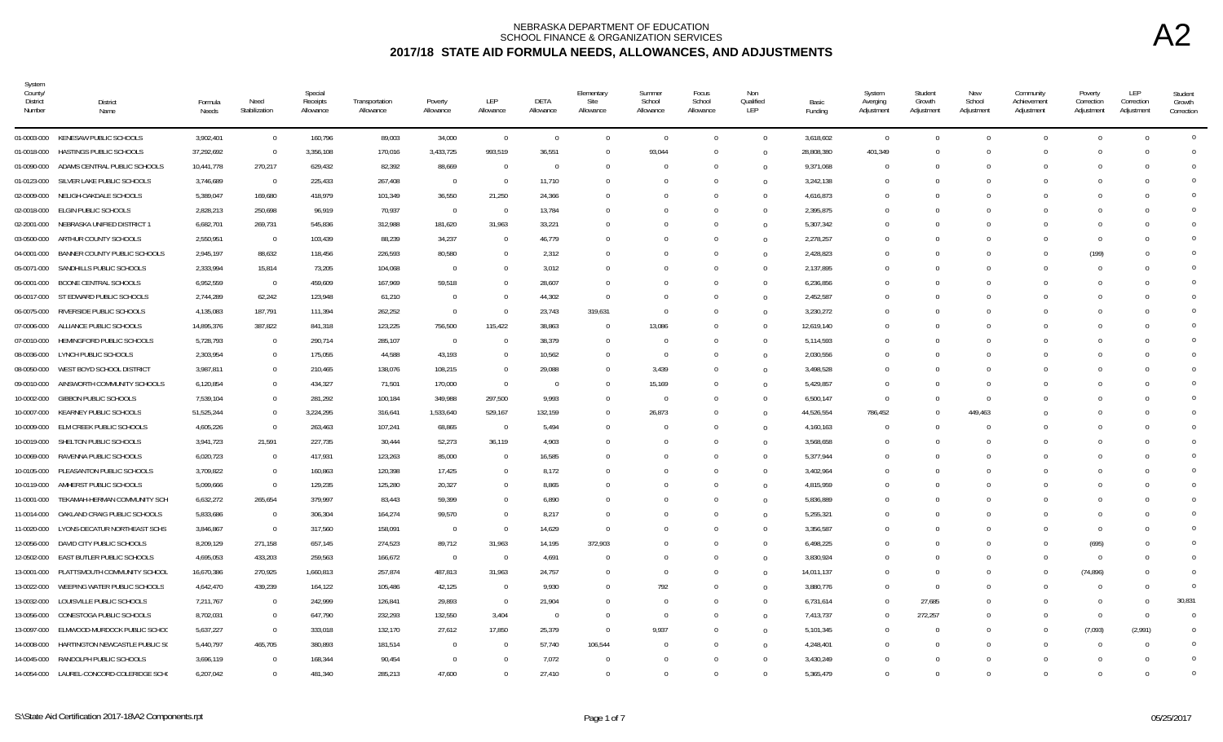| System<br>County/<br><b>District</b><br>Number | District<br>Name                          | Formula<br>Needs | Need<br>Stabilization | Special<br>Receipts<br>Allowance | Transportation<br>Allowance | Poverty<br>Allowance | LEP<br>Allowance | DETA<br>Allowance | Elementary<br>Site<br>Allowance | Summer<br>School<br>Allowance | Focus<br>School<br>Allowance | Non<br>Qualified<br>LEP | Basic<br>Funding | System<br>Averging<br>Adjustment | Student<br>Growth<br>Adjustment | New<br>School<br>Adjustment | Community<br>Achievement<br>Adjustment | Poverty<br>Correction<br>Adjustment | LEP<br>Correction<br>Adjustment | Student<br>Growth<br>Correction |
|------------------------------------------------|-------------------------------------------|------------------|-----------------------|----------------------------------|-----------------------------|----------------------|------------------|-------------------|---------------------------------|-------------------------------|------------------------------|-------------------------|------------------|----------------------------------|---------------------------------|-----------------------------|----------------------------------------|-------------------------------------|---------------------------------|---------------------------------|
|                                                | 01-0003-000 KENESAW PUBLIC SCHOOLS        | 3,902,401        | $\overline{0}$        | 160,796                          | 89,003                      | 34,000               | $\overline{0}$   | $\overline{0}$    | $\overline{0}$                  | $\Omega$                      | $\Omega$                     | $\mathbf{0}$            | 3,618,602        | $\overline{0}$                   | $\Omega$                        | $\Omega$                    | $\Omega$                               | $\Omega$                            | $\bigcap$                       | $\overline{0}$                  |
| 01-0018-000                                    | HASTINGS PUBLIC SCHOOLS                   | 37,292,692       | $\mathbf{0}$          | 3,356,108                        | 170,016                     | 3,433,725            | 993,519          | 36,551            | $\Omega$                        | 93,044                        |                              | $\overline{0}$          | 28,808,380       | 401,349                          |                                 |                             | $\Omega$                               | $\Omega$                            |                                 | $\Omega$                        |
| 01-0090-000                                    | ADAMS CENTRAL PUBLIC SCHOOLS              | 10,441,778       | 270,217               | 629,432                          | 82,392                      | 88,669               | $\overline{0}$   | $\Omega$          | $\Omega$                        | $\Omega$                      |                              | $\Omega$                | 9,371,068        | $\Omega$                         | $\Omega$                        |                             | $\Omega$                               | $\Omega$                            |                                 | $\Omega$                        |
| 01-0123-000                                    | SILVER LAKE PUBLIC SCHOOLS                | 3,746,689        | $\overline{0}$        | 225,433                          | 267,408                     | $\overline{0}$       | $\Omega$         | 11,710            |                                 |                               |                              | $\overline{0}$          | 3,242,138        | $\Omega$                         |                                 |                             |                                        | $\Omega$                            |                                 | $\Omega$                        |
| 02-0009-000                                    | NELIGH-OAKDALE SCHOOLS                    | 5,389,047        | 169,680               | 418,979                          | 101,349                     | 36,550               | 21,250           | 24,366            |                                 |                               |                              | $\Omega$                | 4,616,873        | $\Omega$                         |                                 |                             | $\Omega$                               | $\bigcap$                           |                                 | $\Omega$                        |
| 02-0018-000                                    | ELGIN PUBLIC SCHOOLS                      | 2,828,213        | 250,698               | 96,919                           | 70,937                      | $\overline{0}$       | $\overline{0}$   | 13,784            |                                 |                               |                              | $\Omega$                | 2,395,875        | $\Omega$                         |                                 |                             |                                        | $\Omega$                            |                                 | $\Omega$                        |
| 02-2001-000                                    | NEBRASKA UNIFIED DISTRICT 1               | 6,682,701        | 269,731               | 545,836                          | 312,988                     | 181,620              | 31,963           | 33,221            | -0                              |                               |                              | $\Omega$                | 5,307,342        | $\epsilon$                       |                                 |                             |                                        | $\Omega$                            |                                 | $\overline{0}$                  |
| 03-0500-000                                    | ARTHUR COUNTY SCHOOLS                     | 2,550,951        | $\overline{0}$        | 103,439                          | 88,239                      | 34,237               | $\Omega$         | 46,779            | $\Omega$                        |                               |                              | $\overline{0}$          | 2,278,257        | $\Omega$                         | $\Omega$                        |                             | $\Omega$                               | $\overline{0}$                      |                                 | $\overline{0}$                  |
| 04-0001-000                                    | BANNER COUNTY PUBLIC SCHOOLS              | 2,945,197        | 88,632                | 118,456                          | 226,593                     | 80,580               | $\Omega$         | 2,312             | $\Omega$                        |                               | $\Omega$                     | $\overline{0}$          | 2,428,823        | $\Omega$                         | $\Omega$                        |                             | $\Omega$                               | (199)                               |                                 | $\Omega$                        |
| 05-0071-000                                    | SANDHILLS PUBLIC SCHOOLS                  | 2,333,994        | 15,814                | 73,205                           | 104,068                     | $\overline{0}$       | $\Omega$         | 3,012             | - 0                             |                               |                              | $\overline{0}$          | 2,137,895        | - 0                              |                                 |                             | $\Omega$                               | $\Omega$                            |                                 | $\Omega$                        |
| 06-0001-000                                    | BOONE CENTRAL SCHOOLS                     | 6,952,559        | $\overline{0}$        | 459,609                          | 167,969                     | 59,518               | $\cup$           | 28,607            | $\Omega$                        |                               |                              | $\overline{0}$          | 6,236,856        | $\Omega$                         |                                 |                             | $\Omega$                               | $\bigcap$                           |                                 | $\Omega$                        |
|                                                | 06-0017-000 ST EDWARD PUBLIC SCHOOLS      | 2,744,289        | 62,242                | 123,948                          | 61,210                      | $\overline{0}$       | $\Omega$         | 44,302            | 0                               |                               |                              | $\Omega$                | 2,452,587        | -0                               |                                 |                             |                                        | $\Omega$                            |                                 | $\Omega$                        |
| 06-0075-000                                    | RIVERSIDE PUBLIC SCHOOLS                  | 4,135,083        | 187,791               | 111,394                          | 262,252                     | $\overline{0}$       | $\Omega$         | 23,743            | 319,631                         | $\Omega$                      |                              | $\Omega$                | 3,230,272        | $\Omega$                         |                                 |                             |                                        |                                     |                                 | $\overline{0}$                  |
| 07-0006-000                                    | ALLIANCE PUBLIC SCHOOLS                   | 14,895,376       | 387,822               | 841,318                          | 123,225                     | 756,500              | 115,422          | 38,863            | $\Omega$                        | 13,086                        | $\Omega$                     | $\overline{0}$          | 12,619,140       | $\Omega$                         | $\Omega$                        |                             | $\Omega$                               | $\Omega$                            |                                 | $\Omega$                        |
| 07-0010-000                                    | HEMINGFORD PUBLIC SCHOOLS                 | 5,728,793        | $\mathbf{0}$          | 290,714                          | 285,107                     | $\overline{0}$       |                  | 38,379            | $\Omega$                        | $\Omega$                      |                              | $\overline{0}$          | 5,114,593        | - 0                              |                                 |                             |                                        | $\Omega$                            |                                 | $\Omega$                        |
| 08-0036-000                                    | LYNCH PUBLIC SCHOOLS                      | 2,303,954        | $\mathbf{0}$          | 175,055                          | 44,588                      | 43,193               | $\Omega$         | 10,562            | $\Omega$                        | $\Omega$                      |                              | $\Omega$                | 2,030,556        | - 0                              |                                 |                             | $\Omega$                               | $\Omega$                            |                                 | $\Omega$                        |
| 08-0050-000                                    | WEST BOYD SCHOOL DISTRICT                 | 3,987,811        | $\bf{0}$              | 210,465                          | 138,076                     | 108,215              | $\Omega$         | 29,088            | $\Omega$                        | 3,439                         |                              | $\overline{0}$          | 3,498,528        | - 0                              |                                 |                             |                                        | - 0                                 |                                 | $\Omega$                        |
| 09-0010-000                                    | AINSWORTH COMMUNITY SCHOOLS               | 6,120,854        | $\mathbf 0$           | 434,327                          | 71,501                      | 170,000              | $\overline{0}$   | $\Omega$          | $\Omega$                        | 15,169                        |                              | $\Omega$                | 5,429,857        | - 0                              |                                 |                             |                                        | $\Omega$                            |                                 | $\overline{0}$                  |
| 10-0002-000                                    | <b>GIBBON PUBLIC SCHOOLS</b>              | 7,539,104        | $\Omega$              | 281,292                          | 100,184                     | 349,988              | 297,500          | 9,993             | $\Omega$                        | $\Omega$                      |                              | $\overline{0}$          | 6,500,147        | $\Omega$                         |                                 |                             |                                        |                                     |                                 | $\Omega$                        |
|                                                | 10-0007-000 KEARNEY PUBLIC SCHOOLS        | 51,525,244       | $\Omega$              | 3,224,295                        | 316,641                     | 1,533,640            | 529,167          | 132,159           | $\Omega$                        | 26,873                        |                              | $\overline{0}$          | 44,526,554       | 786,452                          |                                 | 449.463                     |                                        |                                     |                                 | $\Omega$                        |
| 10-0009-000                                    | ELM CREEK PUBLIC SCHOOLS                  | 4,605,226        | $\Omega$              | 263,463                          | 107,241                     | 68,865               | $\overline{0}$   | 5,494             | $\Omega$                        |                               |                              | $\overline{0}$          | 4,160,163        | $\Omega$                         |                                 |                             | $\Omega$                               | $\Omega$                            |                                 | $\Omega$                        |
| 10-0019-000                                    | SHELTON PUBLIC SCHOOLS                    | 3,941,723        | 21,591                | 227,735                          | 30,444                      | 52,273               | 36,119           | 4,903             | - 0                             |                               |                              | $\Omega$                | 3,568,658        | -0                               |                                 |                             | n                                      | - 0                                 |                                 | $\Omega$                        |
| 10-0069-000                                    | RAVENNA PUBLIC SCHOOLS                    | 6,020,723        | $\mathbf{0}$          | 417,931                          | 123,263                     | 85,000               | $^{\circ}$       | 16,585            |                                 |                               |                              | $\Omega$                | 5,377,944        | $\Omega$                         |                                 |                             |                                        | $\Omega$                            |                                 | $\Omega$                        |
| 10-0105-000                                    | PLEASANTON PUBLIC SCHOOLS                 | 3,709,822        | $\mathbf 0$           | 160,863                          | 120,398                     | 17,425               | $\Omega$         | 8,172             |                                 |                               |                              | $\Omega$                | 3,402,964        | -0                               |                                 |                             | $\Omega$                               | $\Omega$                            |                                 | $\Omega$                        |
| 10-0119-000                                    | AMHERST PUBLIC SCHOOLS                    | 5,099,666        | $\Omega$              | 129,235                          | 125,280                     | 20,327               |                  | 8,865             |                                 |                               |                              | $\Omega$                | 4,815,959        | $\epsilon$                       |                                 |                             |                                        |                                     |                                 | $\Omega$                        |
| 11-0001-000                                    | TEKAMAH-HERMAN COMMUNITY SCH              | 6,632,272        | 265,654               | 379,997                          | 83,443                      | 59,399               | $\Omega$         | 6,890             | $\Omega$                        |                               |                              | $\Omega$                | 5,836,889        | $\Omega$                         |                                 |                             | $\Omega$                               | $\Omega$                            |                                 | $\Omega$                        |
| 11-0014-000                                    | OAKLAND CRAIG PUBLIC SCHOOLS              | 5,833,686        | $\mathbf{0}$          | 306,304                          | 164,274                     | 99,570               | $\Omega$         | 8,217             | $\Omega$                        |                               |                              | $\overline{0}$          | 5,255,321        | -0                               |                                 |                             | n                                      | $\Omega$                            |                                 | $\Omega$                        |
| 11-0020-000                                    | LYONS-DECATUR NORTHEAST SCHS              | 3,846,867        | $\overline{0}$        | 317,560                          | 158,091                     | $\overline{0}$       | $\Omega$         | 14,629            | $\Omega$                        |                               |                              | $\Omega$                | 3,356,587        | - 0                              |                                 |                             | $\Omega$                               | $\Omega$                            |                                 | $\Omega$                        |
| 12-0056-000                                    | DAVID CITY PUBLIC SCHOOLS                 | 8,209,129        | 271,158               | 657,145                          | 274,523                     | 89,712               | 31,963           | 14,195            | 372,903                         |                               |                              | $\Omega$                | 6,498,225        | $\Omega$                         |                                 |                             | $\Omega$                               | (695)                               |                                 | $\Omega$                        |
| 12-0502-000                                    | EAST BUTLER PUBLIC SCHOOLS                | 4,695,053        | 433,203               | 259,563                          | 166,672                     | $\overline{0}$       | $\overline{0}$   | 4,691             | $\Omega$                        |                               |                              | $\Omega$                | 3,830,924        | $\Omega$                         |                                 |                             | $\Omega$                               | $\Omega$                            |                                 | $\Omega$                        |
| 13-0001-000                                    | PLATTSMOUTH COMMUNITY SCHOOL              | 16,670,386       | 270,925               | 1,660,813                        | 257,874                     | 487,813              | 31,963           | 24,757            | $\Omega$                        |                               |                              | $\Omega$                | 14,011,137       | $\Omega$                         |                                 |                             | $\Omega$                               | (74, 896)                           |                                 | $\Omega$                        |
| 13-0022-000                                    | WEEPING WATER PUBLIC SCHOOLS              | 4,642,470        | 439,239               | 164,122                          | 105,486                     | 42,125               | $\Omega$         | 9,930             | -0                              | 792                           |                              | $\Omega$                | 3,880,776        | 0                                | $\Omega$                        |                             |                                        | $\Omega$                            |                                 | $\overline{0}$                  |
| 13-0032-000                                    | LOUISVILLE PUBLIC SCHOOLS                 | 7,211,767        | $\overline{0}$        | 242,999                          | 126,841                     | 29,893               | $\overline{0}$   | 21,904            | $\Omega$                        | $\Omega$                      | $\Omega$                     | $\overline{0}$          | 6,731,614        | $\Omega$                         | 27,685                          |                             | $\Omega$                               | $\overline{0}$                      | $\Omega$                        | 30,831                          |
| 13-0056-000                                    | CONESTOGA PUBLIC SCHOOLS                  | 8,702,031        | $\mathbf{0}$          | 647,790                          | 232,293                     | 132,550              | 3,404            | $\overline{0}$    | $\Omega$                        | $\Omega$                      |                              | $\overline{0}$          | 7,413,737        | - 0                              | 272,257                         |                             | $\Omega$                               | $\overline{0}$                      | $\Omega$                        | $\Omega$                        |
| 13-0097-000                                    | ELMWOOD-MURDOCK PUBLIC SCHOC              | 5,637,227        | $\mathbf 0$           | 333,018                          | 132,170                     | 27,612               | 17,850           | 25,379            | $\Omega$                        | 9,937                         |                              | $\Omega$                | 5,101,345        | $\Omega$                         |                                 |                             | $\Omega$                               | (7,093)                             | (2,991)                         | $\overline{0}$                  |
| 14-0008-000                                    | HARTINGTON NEWCASTLE PUBLIC S(            | 5,440,797        | 465,705               | 380,893                          | 181,514                     | $\overline{0}$       |                  | 57,740            | 106,544                         |                               |                              | $\Omega$                | 4,248,401        | C                                |                                 |                             |                                        |                                     |                                 | $\Omega$                        |
| 14-0045-000                                    | RANDOLPH PUBLIC SCHOOLS                   | 3,696,119        | $\mathbf{0}$          | 168,344                          | 90,454                      | $\overline{0}$       | $\Omega$         | 7,072             | $\Omega$                        |                               |                              | $\Omega$                | 3,430,249        | $\Omega$                         | $\Omega$                        |                             |                                        |                                     |                                 | $\overline{0}$                  |
|                                                | 14-0054-000 LAUREL-CONCORD-COLERIDGE SCH( | 6,207,042        | $\Omega$              | 481.340                          | 285,213                     | 47.600               | $\Omega$         | 27.410            | $\Omega$                        |                               |                              | $\Omega$                | 5.365.479        | - 0                              |                                 |                             | $\Omega$                               | $\Omega$                            |                                 | $\overline{0}$                  |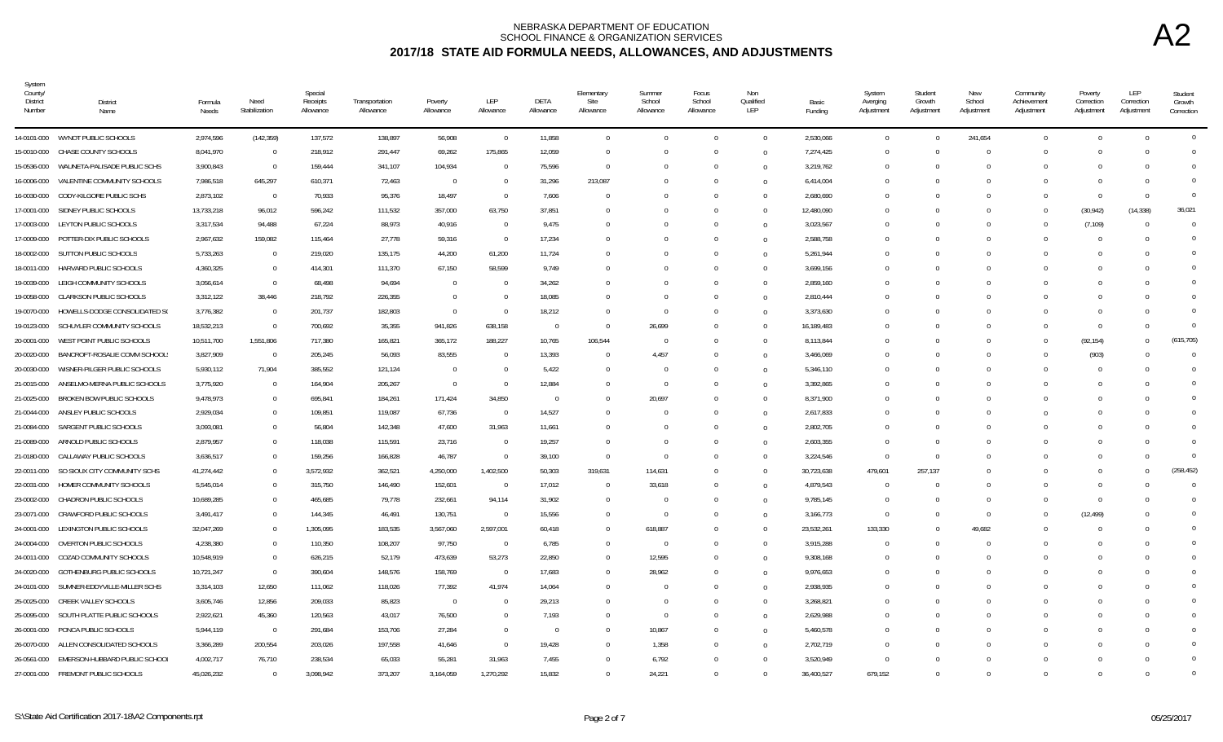| System<br>County/<br>District<br>Number | District<br>Name                   | Formula<br>Needs | Need<br>Stabilization | Special<br>Receipts<br>Allowance | Transportation<br>Allowance | Poverty<br>Allowance | LEP<br>Allowance | DETA<br>Allowance | Elementary<br>Site<br>Allowance | Summer<br>School<br>Allowance | Focus<br>School<br>Allowance | Non<br>Qualified<br>LEP | Basic<br>Funding | System<br>Averging<br>Adjustment | Student<br>Growth<br>Adjustment | New<br>School<br>Adjustment | Community<br>Achievement<br>Adjustment | Poverty<br>Correction<br>Adjustment | LEP<br>Correction<br>Adjustment | Student<br>Growth<br>Correction |
|-----------------------------------------|------------------------------------|------------------|-----------------------|----------------------------------|-----------------------------|----------------------|------------------|-------------------|---------------------------------|-------------------------------|------------------------------|-------------------------|------------------|----------------------------------|---------------------------------|-----------------------------|----------------------------------------|-------------------------------------|---------------------------------|---------------------------------|
|                                         | 14-0101-000 WYNOT PUBLIC SCHOOLS   | 2,974,596        | (142, 359)            | 137,572                          | 138,897                     | 56,908               | $\overline{0}$   | 11,858            | $\Omega$                        | $\Omega$                      | $\Omega$                     | $\mathbf{0}$            | 2,530,066        | $\Omega$                         | $\Omega$                        | 241,654                     | $\Omega$                               | $\Omega$                            | $\bigcap$                       | $\overline{0}$                  |
| 15-0010-000                             | CHASE COUNTY SCHOOLS               | 8,041,970        | $\overline{0}$        | 218,912                          | 291,447                     | 69,262               | 175,865          | 12,059            |                                 | $\Omega$                      |                              | $\overline{0}$          | 7,274,425        | $\Omega$                         |                                 |                             | $\Omega$                               | $\Omega$                            |                                 | $\Omega$                        |
| 15-0536-000                             | WAUNETA-PALISADE PUBLIC SCHS       | 3,900,843        | $\overline{0}$        | 159,444                          | 341,107                     | 104,934              | $\Omega$         | 75,596            | $\Omega$                        | $\Omega$                      |                              | $\Omega$                | 3,219,762        | $\Omega$                         |                                 | $\Omega$                    | $\Omega$                               | $\Omega$                            |                                 | $\Omega$                        |
| 16-0006-000                             | VALENTINE COMMUNITY SCHOOLS        | 7,986,518        | 645,297               | 610,371                          | 72,463                      | $\overline{0}$       | $\theta$         | 31,296            | 213,087                         | $\Omega$                      | $\Omega$                     | $\overline{0}$          | 6,414,004        | - 0                              |                                 |                             | $\Omega$                               | $\Omega$                            |                                 | $\Omega$                        |
| 16-0030-000                             | CODY-KILGORE PUBLIC SCHS           | 2,873,102        | $\overline{0}$        | 70,933                           | 95,376                      | 18,497               | $\Omega$         | 7,606             | $\Omega$                        | $\Omega$                      |                              | $\Omega$                | 2,680,690        | $\Omega$                         |                                 |                             | $\Omega$                               | $\Omega$                            | $\Omega$                        | $\Omega$                        |
| 17-0001-000                             | SIDNEY PUBLIC SCHOOLS              | 13,733,218       | 96,012                | 596,242                          | 111,532                     | 357,000              | 63,750           | 37,851            |                                 |                               |                              | $\overline{0}$          | 12,480,090       | $\Omega$                         |                                 |                             | $\Omega$                               | (30, 942)                           | (14, 338)                       | 36,021                          |
| 17-0003-000                             | LEYTON PUBLIC SCHOOLS              | 3,317,534        | 94,488                | 67,224                           | 88,973                      | 40,916               | $\Omega$         | 9,475             |                                 |                               |                              | $\overline{0}$          | 3,023,567        | $\epsilon$                       |                                 |                             | $\Omega$                               | (7, 109)                            |                                 | $\overline{0}$                  |
| 17-0009-000                             | POTTER-DIX PUBLIC SCHOOLS          | 2,967,632        | 159,082               | 115,464                          | 27,778                      | 59,316               | $\Omega$         | 17,234            |                                 | $\Omega$                      |                              | $\Omega$                | 2,588,758        | $\Omega$                         | $\Omega$                        |                             | $\Omega$                               | $\Omega$                            |                                 | $\overline{0}$                  |
| 18-0002-000                             | SUTTON PUBLIC SCHOOLS              | 5,733,263        | $\overline{0}$        | 219,020                          | 135,175                     | 44,200               | 61,200           | 11,724            |                                 | $\Omega$                      | $\Omega$                     | $\overline{0}$          | 5,261,944        | $\Omega$                         | $\Omega$                        |                             | $\Omega$                               | $\Omega$                            |                                 | $\Omega$                        |
| 18-0011-000                             | HARVARD PUBLIC SCHOOLS             | 4,360,325        | $\overline{0}$        | 414,301                          | 111,370                     | 67,150               | 58,599           | 9,749             |                                 |                               |                              | $\overline{0}$          | 3,699,156        | - 0                              |                                 |                             | $\Omega$                               | $\Omega$                            |                                 | $\Omega$                        |
| 19-0039-000                             | LEIGH COMMUNITY SCHOOLS            | 3,056,614        | $\overline{0}$        | 68,498                           | 94,694                      | $\overline{0}$       | $\Omega$         | 34,262            |                                 | $\Omega$                      |                              | $\overline{0}$          | 2,859,160        | $\Omega$                         | $\Omega$                        |                             | $\Omega$                               | $\bigcap$                           |                                 | $\Omega$                        |
| 19-0058-000                             | CLARKSON PUBLIC SCHOOLS            | 3,312,122        | 38,446                | 218,792                          | 226,355                     | $\overline{0}$       |                  | 18,085            |                                 | 0                             |                              | $\overline{0}$          | 2,810,444        | -0                               |                                 |                             | $\Omega$                               | $\Omega$                            |                                 | $\Omega$                        |
| 19-0070-000                             | HOWELLS-DODGE CONSOLIDATED S(      | 3,776,382        | $\overline{0}$        | 201,737                          | 182,803                     | $\overline{0}$       | $\theta$         | 18,212            |                                 | $\Omega$                      |                              | $\Omega$                | 3,373,630        | $\Omega$                         |                                 |                             |                                        | $\Omega$                            |                                 | $\overline{0}$                  |
| 19-0123-000                             | SCHUYLER COMMUNITY SCHOOLS         | 18,532,213       | $\Omega$              | 700,692                          | 35,355                      | 941,826              | 638,158          | $\Omega$          | $\Omega$                        | 26,699                        | $\Omega$                     | $\overline{0}$          | 16,189,483       | $\Omega$                         | $\Omega$                        |                             | $\Omega$                               | $\overline{0}$                      | $\Omega$                        | $\Omega$                        |
| 20-0001-000                             | WEST POINT PUBLIC SCHOOLS          | 10,511,700       | 1,551,806             | 717,380                          | 165,821                     | 365,172              | 188,227          | 10,765            | 106,544                         | $\Omega$                      |                              | $\overline{0}$          | 8,113,844        | - 0                              |                                 |                             | $\Omega$                               | (92, 154)                           |                                 | (615, 705)                      |
| 20-0020-000                             | BANCROFT-ROSALIE COMM SCHOOL:      | 3,827,909        | $\overline{0}$        | 205,245                          | 56,093                      | 83,555               |                  | 13,393            | $\Omega$                        | 4,457                         | $\Omega$                     | $\overline{0}$          | 3,466,069        | - 0                              | $\Omega$                        |                             | $\Omega$                               | (903)                               |                                 | $\Omega$                        |
| 20-0030-000                             | WISNER-PILGER PUBLIC SCHOOLS       | 5,930,112        | 71,904                | 385,552                          | 121,124                     | $\overline{0}$       | $\Omega$         | 5,422             |                                 | $\mathbf{0}$                  |                              | $\overline{0}$          | 5,346,110        | - 0                              |                                 |                             | <sup>0</sup>                           | $\bigcap$                           |                                 | $\Omega$                        |
| 21-0015-000                             | ANSELMO-MERNA PUBLIC SCHOOLS       | 3,775,920        | $\overline{0}$        | 164,904                          | 205,267                     | $\overline{0}$       | $\mathbf{0}$     | 12,884            |                                 | $\mathbf{0}$                  | $\Omega$                     | $\Omega$                | 3,392,865        | $\Omega$                         | $\Omega$                        |                             | $\Omega$                               | $\Omega$                            |                                 | $\overline{0}$                  |
| 21-0025-000                             | BROKEN BOW PUBLIC SCHOOLS          | 9,478,973        | $\mathbf{0}$          | 695,841                          | 184,261                     | 171,424              | 34,850           | $\Omega$          |                                 | 20,697                        |                              | $\overline{0}$          | 8,371,900        | $\Omega$                         |                                 |                             |                                        |                                     |                                 | $\Omega$                        |
| 21-0044-000                             | ANSLEY PUBLIC SCHOOLS              | 2,929,034        | $\Omega$              | 109,851                          | 119,087                     | 67,736               | $\Omega$         | 14,527            |                                 | $\Omega$                      |                              | $\Omega$                | 2,617,833        | $\Omega$                         | $\Omega$                        |                             | $\Omega$                               |                                     |                                 | $\Omega$                        |
| 21-0084-000                             | SARGENT PUBLIC SCHOOLS             | 3,093,081        | $\mathbf 0$           | 56,804                           | 142,348                     | 47,600               | 31,963           | 11,661            |                                 | $\Omega$                      | $\cap$                       | $\overline{0}$          | 2,802,705        | $\Omega$                         |                                 |                             | $\Omega$                               | $\Omega$                            |                                 | $\Omega$                        |
| 21-0089-000                             | ARNOLD PUBLIC SCHOOLS              | 2,879,957        | $\mathbf 0$           | 118,038                          | 115,591                     | 23,716               | $\Omega$         | 19,257            |                                 | $\Omega$                      |                              | $\overline{0}$          | 2,603,355        | $\Omega$                         | <sup>n</sup>                    |                             | n                                      | $\bigcap$                           |                                 | $\Omega$                        |
| 21-0180-000                             | CALLAWAY PUBLIC SCHOOLS            | 3,636,517        | $\mathbf{0}$          | 159,256                          | 166,828                     | 46,787               | $\mathbf{0}$     | 39,100            | $\Omega$                        | $\mathbf{0}$                  |                              | $\Omega$                | 3,224,546        | $\overline{0}$                   | $\Omega$                        |                             | $\Omega$                               | $\Omega$                            |                                 | $\overline{0}$                  |
| 22-0011-000                             | SO SIOUX CITY COMMUNITY SCHS       | 41,274,442       | $\mathbf{0}$          | 3,572,932                        | 362,521                     | 4,250,000            | 1,402,500        | 50,303            | 319,631                         | 114,631                       | $\Omega$                     | $\Omega$                | 30,723,638       | 479,601                          | 257,137                         |                             | $\Omega$                               | $\Omega$                            |                                 | (258, 452)                      |
| 22-0031-000                             | HOMER COMMUNITY SCHOOLS            | 5,545,014        | $\mathbf{0}$          | 315,750                          | 146,490                     | 152,601              | $\Omega$         | 17,012            |                                 | 33,618                        |                              | $\Omega$                | 4,879,543        | $\Omega$                         |                                 |                             |                                        | $\Omega$                            |                                 | $\Omega$                        |
| 23-0002-000                             | CHADRON PUBLIC SCHOOLS             | 10,689,285       | $\Omega$              | 465,685                          | 79,778                      | 232,661              | 94,114           | 31,902            | $\Omega$                        | $\Omega$                      | $\Omega$                     | $\overline{0}$          | 9,785,145        | $\Omega$                         | $\Omega$                        |                             | $\Omega$                               | $\Omega$                            |                                 | $\Omega$                        |
| 23-0071-000                             | CRAWFORD PUBLIC SCHOOLS            | 3,491,417        | $\mathbf{0}$          | 144,345                          | 46,491                      | 130,751              | $\Omega$         | 15,556            |                                 | $\mathbf 0$                   |                              | $\overline{0}$          | 3,166,773        | $\Omega$                         | $\Omega$                        | $\Omega$                    | $\Omega$                               | (12, 499)                           |                                 | $\overline{0}$                  |
| 24-0001-000                             | LEXINGTON PUBLIC SCHOOLS           | 32,047,269       | $\mathbf{0}$          | 1,305,095                        | 183,535                     | 3,567,060            | 2,597,001        | 60,418            |                                 | 618,887                       | $\Omega$                     | $\overline{0}$          | 23,532,261       | 133,330                          | $\Omega$                        | 49,682                      | $\Omega$                               | $\Omega$                            |                                 | $\Omega$                        |
| 24-0004-000                             | OVERTON PUBLIC SCHOOLS             | 4,238,380        | $\mathbf{0}$          | 110,350                          | 108,207                     | 97,750               | $\Omega$         | 6,785             | $\Omega$                        | $\overline{0}$                | $\Omega$                     | $\Omega$                | 3,915,288        | - 0                              | $\Omega$                        |                             | $\Omega$                               | $\Omega$                            |                                 | $\Omega$                        |
| 24-0011-000                             | COZAD COMMUNITY SCHOOLS            | 10,548,919       | $\mathbf{0}$          | 626,215                          | 52,179                      | 473,639              | 53,273           | 22,850            |                                 | 12,595                        |                              | $\Omega$                | 9,308,168        | $\Omega$                         |                                 |                             |                                        |                                     |                                 | $\Omega$                        |
| 24-0020-000                             | GOTHENBURG PUBLIC SCHOOLS          | 10,721,247       | $\mathbf{0}$          | 390,604                          | 148,576                     | 158,769              | $\Omega$         | 17,683            |                                 | 28,962                        |                              | $\Omega$                | 9,976,653        | $\Omega$                         |                                 |                             |                                        |                                     |                                 | $\Omega$                        |
| 24-0101-000                             | SUMNER-EDDYVILLE-MILLER SCHS       | 3,314,103        | 12,650                | 111,062                          | 118,026                     | 77,392               | 41,974           | 14,064            |                                 | $\Omega$                      |                              | $\Omega$                | 2,938,935        | $\Omega$                         |                                 |                             |                                        |                                     |                                 | $\overline{0}$                  |
| 25-0025-000                             | <b>CREEK VALLEY SCHOOLS</b>        | 3,605,746        | 12,856                | 209,033                          | 85,823                      | $\overline{0}$       | $\Omega$         | 29,213            |                                 | $\Omega$                      | $\Omega$                     | $\overline{0}$          | 3,268,821        | -0                               | $\Omega$                        |                             | $\Omega$                               | $\Omega$                            |                                 | $\Omega$                        |
| 25-0095-000                             | SOUTH PLATTE PUBLIC SCHOOLS        | 2,922,621        | 45,360                | 120,563                          | 43,017                      | 76,500               |                  | 7,193             |                                 | $\Omega$                      |                              | $\overline{0}$          | 2,629,988        | - 0                              |                                 |                             | $\Omega$                               | $\Omega$                            |                                 | $\Omega$                        |
| 26-0001-000                             | PONCA PUBLIC SCHOOLS               | 5,944,119        | $\overline{0}$        | 291,684                          | 153,706                     | 27,284               | $\Omega$         | $\Omega$          |                                 | 10,867                        | $\Omega$                     | $\Omega$                | 5,460,578        | $\Omega$                         | $\Omega$                        |                             | $\Omega$                               | $\Omega$                            |                                 | $\Omega$                        |
| 26-0070-000                             | ALLEN CONSOLIDATED SCHOOLS         | 3,366,289        | 200,554               | 203,026                          | 197,558                     | 41,646               | $\Omega$         | 19,428            |                                 | 1,358                         |                              | $\overline{0}$          | 2,702,719        | $\Omega$                         |                                 |                             | $\Omega$                               | $\Omega$                            |                                 | $\Omega$                        |
| 26-0561-000                             | EMERSON-HUBBARD PUBLIC SCHOOL      | 4,002,717        | 76,710                | 238,534                          | 65,033                      | 55,281               | 31,963           | 7,455             |                                 | 6,792                         |                              | $\Omega$                | 3,520,949        | - 0                              |                                 |                             | $\Omega$                               |                                     |                                 | $\overline{0}$                  |
|                                         | 27-0001-000 FREMONT PUBLIC SCHOOLS | 45,026,232       | $\Omega$              | 3,098,942                        | 373,207                     | 3,164,059            | 1,270,292        | 15.832            |                                 | 24,221                        |                              | $\Omega$                | 36,400,527       | 679,152                          |                                 |                             | $\Omega$                               | $\Omega$                            |                                 | $\Omega$                        |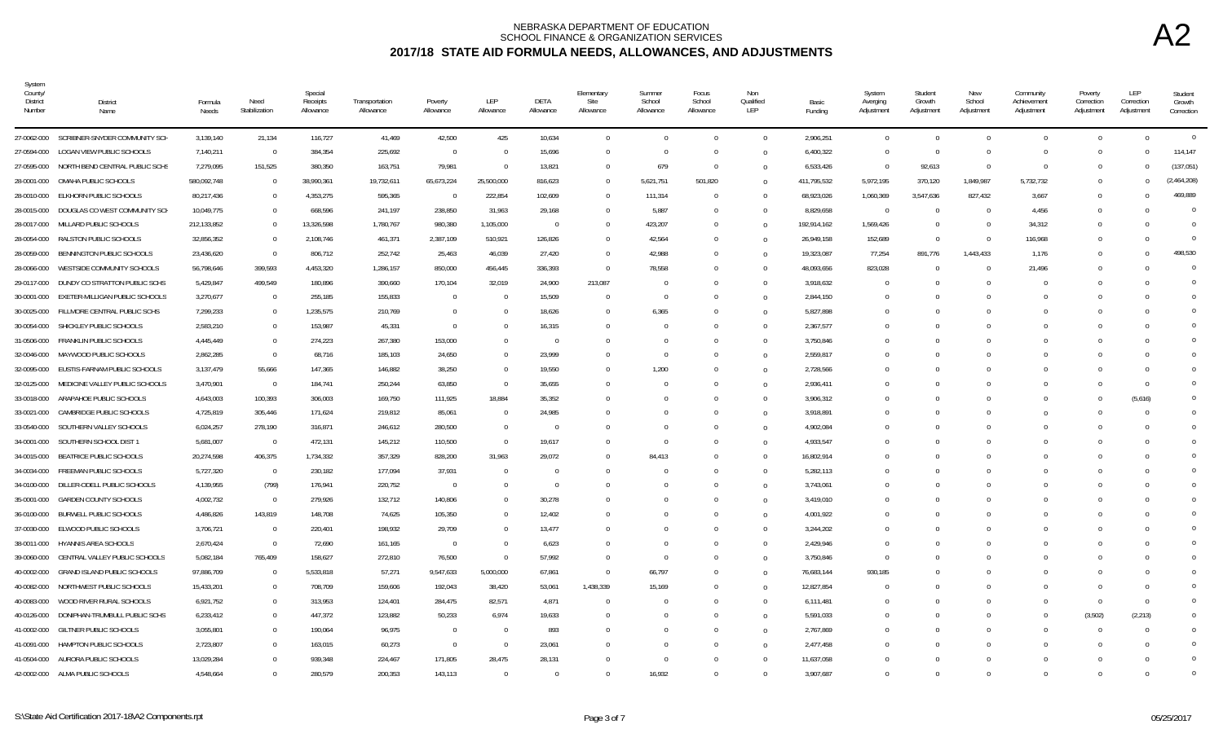| System<br>County/<br>District<br>Number | <b>District</b><br>Name                   | Formula<br>Needs | Need<br>Stabilization   | Special<br>Receipts<br>Allowance | Transportation<br>Allowance | Poverty<br>Allowance | LEP<br>Allowance | <b>DETA</b><br>Allowance | Elementary<br>Site<br>Allowance | Summer<br>School<br>Allowance | Focus<br>School<br>Allowance | Non<br>Qualified<br>LEP | Basic<br>Funding | System<br>Averging<br>Adjustment | Student<br>Growth<br>Adjustment | New<br>School<br>Adjustment | Community<br>Achievement<br>Adjustment | Poverty<br>Correction<br>Adjustment | <b>LEP</b><br>Correction<br>Adjustment | Student<br>Growth<br>Correction |
|-----------------------------------------|-------------------------------------------|------------------|-------------------------|----------------------------------|-----------------------------|----------------------|------------------|--------------------------|---------------------------------|-------------------------------|------------------------------|-------------------------|------------------|----------------------------------|---------------------------------|-----------------------------|----------------------------------------|-------------------------------------|----------------------------------------|---------------------------------|
|                                         | 27-0062-000 SCRIBNER-SNYDER COMMUNITY SCH | 3,139,140        | 21,134                  | 116,727                          | 41,469                      | 42,500               | 425              | 10,634                   | $\Omega$                        | $\Omega$                      | $\overline{0}$               | $\Omega$                | 2,906,251        | $\Omega$                         | $\Omega$                        | $\theta$                    | $\overline{0}$                         | $\overline{0}$                      | $\Omega$                               | $\overline{0}$                  |
| 27-0594-000                             | LOGAN VIEW PUBLIC SCHOOLS                 | 7,140,211        | $\Omega$                | 384,354                          | 225,692                     | $\overline{0}$       | $\Omega$         | 15,696                   | $\Omega$                        | $\Omega$                      | $\Omega$                     | $\Omega$                | 6,400,322        |                                  | $\Omega$                        | $\Omega$                    | $\Omega$                               | $\Omega$                            | $\bigcap$                              | 114,147                         |
| 27-0595-000                             | NORTH BEND CENTRAL PUBLIC SCHS            | 7,279,095        | 151,525                 | 380,350                          | 163,751                     | 79,981               | $\Omega$         | 13,821                   | $\Omega$                        | 679                           | $\overline{0}$               | $\Omega$                | 6,533,426        | $\Omega$                         | 92,613                          | $\overline{0}$              | $\overline{0}$                         | $\Omega$                            | $\cap$                                 | (137, 051)                      |
| 28-0001-000                             | OMAHA PUBLIC SCHOOLS                      | 580,092,748      | $\overline{0}$          | 38,990,361                       | 19,732,611                  | 65,673,224           | 25,500,000       | 816,623                  | $\Omega$                        | 5,621,751                     | 501,820                      | $\Omega$                | 411,795,532      | 5,972,195                        | 370,120                         | 1,849,987                   | 5,732,732                              | $\Omega$                            | $\Omega$                               | (2,464,208)                     |
| 28-0010-000                             | ELKHORN PUBLIC SCHOOLS                    | 80,217,436       | $\overline{0}$          | 4,353,275                        | 595,365                     | $^{\circ}$           | 222,854          | 102,609                  | $\Omega$                        | 111,314                       | $\Omega$                     | $\Omega$                | 68,923,026       | 1,060,369                        | 3,547,636                       | 827,432                     | 3,667                                  | $\Omega$                            |                                        | 469,889                         |
| 28-0015-000                             | DOUGLAS CO WEST COMMUNITY SCH             | 10,049,775       | $\overline{0}$          | 668,596                          | 241,197                     | 238,850              | 31,963           | 29,168                   |                                 | 5,887                         | $\Omega$                     | $\Omega$                | 8,829,658        | $\sqrt{ }$                       | $\Omega$                        | $\Omega$                    | 4,456                                  |                                     |                                        | $\Omega$                        |
| 28-0017-000                             | MILLARD PUBLIC SCHOOLS                    | 212,133,852      | $\Omega$                | 13,326,598                       | 1,780,767                   | 980,380              | 1,105,000        | $\overline{0}$           | $\Omega$                        | 423,207                       | $\Omega$                     | $\Omega$                | 192,914,162      | 1,569,426                        | $\Omega$                        | $\Omega$                    | 34,312                                 | $\Omega$                            |                                        | $\Omega$                        |
| 28-0054-000                             | RALSTON PUBLIC SCHOOLS                    | 32,856,352       | $\overline{0}$          | 2,108,746                        | 461,371                     | 2,387,109            | 510,921          | 126,826                  | $\eta$                          | 42,564                        | $\Omega$                     | $\Omega$                | 26,949,158       | 152,689                          | $\Omega$                        | $\overline{0}$              | 116,968                                | $\Omega$                            |                                        | $\Omega$                        |
| 28-0059-000                             | BENNINGTON PUBLIC SCHOOLS                 | 23,436,620       | $\Omega$                | 806,712                          | 252,742                     | 25,463               | 46,039           | 27,420                   | $\Omega$                        | 42,988                        | $\overline{0}$               | $\Omega$                | 19,323,087       | 77,254                           | 891,776                         | 1,443,433                   | 1,176                                  | $\Omega$                            | $\Omega$                               | 498,530                         |
| 28-0066-000                             | WESTSIDE COMMUNITY SCHOOLS                | 56,798,646       | 399,593                 | 4,453,320                        | 1,286,157                   | 850,000              | 456,445          | 336,393                  | $\Omega$                        | 78,558                        | $\Omega$                     | $\Omega$                | 48,093,656       | 823,028                          | $\Omega$                        | $\Omega$                    | 21,496                                 | $\Omega$                            |                                        | $\Omega$                        |
| 29-0117-000                             | DUNDY CO STRATTON PUBLIC SCHS             | 5,429,847        | 499,549                 | 180,896                          | 390,660                     | 170,104              | 32,019           | 24,900                   | 213,087                         | $^{\circ}$                    | $\Omega$                     | $\Omega$                | 3,918,632        | - 0                              | $\Omega$                        | $\Omega$                    | $\sqrt{ }$                             | $\cap$                              |                                        | $\Omega$                        |
| 30-0001-000                             | EXETER-MILLIGAN PUBLIC SCHOOLS            | 3,270,677        | $\overline{0}$          | 255,185                          | 155,833                     | $\Omega$             | $\Omega$         | 15,509                   | $\Omega$                        | $\Omega$                      | $\Omega$                     | $\Omega$                | 2,844,150        |                                  | $\Omega$                        |                             | $\Omega$                               |                                     |                                        | $\Omega$                        |
| 30-0025-000                             | FILLMORE CENTRAL PUBLIC SCHS              | 7,299,233        | $\Omega$                | 1,235,575                        | 210,769                     | $\Omega$             | $\Omega$         | 18,626                   |                                 | 6,365                         |                              | $\Omega$                | 5,827,898        |                                  | $\Omega$                        |                             | $\Omega$                               |                                     |                                        | $\Omega$                        |
| 30-0054-000                             | SHICKLEY PUBLIC SCHOOLS                   | 2,583,210        | $\mathbf{0}$            | 153,987                          | 45,331                      | $\overline{0}$       | $\Omega$         | 16,315                   |                                 | $\Omega$                      | $\Omega$                     | $\Omega$                | 2,367,577        |                                  | $\Omega$                        | $\Omega$                    | $\Omega$                               | $\cap$                              |                                        | $\Omega$                        |
| 31-0506-000                             | FRANKLIN PUBLIC SCHOOLS                   | 4,445,449        | $\overline{0}$          | 274,223                          | 267,380                     | 153,000              | $\Omega$         | $\overline{0}$           | - 0                             | $\Omega$                      | $\Omega$                     | $\Omega$                | 3,750,846        |                                  | $\Omega$                        | $\Omega$                    | $\Omega$                               | $\Omega$                            |                                        | $\Omega$                        |
| 32-0046-000                             | MAYWOOD PUBLIC SCHOOLS                    | 2,862,285        | $\overline{0}$          | 68,716                           | 185,103                     | 24,650               | $\Omega$         | 23,999                   |                                 | $\Omega$                      | $\Omega$                     | $\Omega$                | 2,559,817        |                                  | $\Omega$                        | $\Omega$                    | $\Omega$                               | $\Omega$                            |                                        | $\Omega$                        |
| 32-0095-000                             | EUSTIS-FARNAM PUBLIC SCHOOLS              | 3,137,479        | 55,666                  | 147,365                          | 146,882                     | 38,250               | $\Omega$         | 19,550                   | $\Omega$                        | 1,200                         | $\Omega$                     | $\Omega$                | 2,728,566        |                                  | $\Omega$                        | $\Omega$                    | $\Omega$                               | $\cap$                              | $\cap$                                 | $\Omega$                        |
| 32-0125-000                             | MEDICINE VALLEY PUBLIC SCHOOLS            | 3,470,901        | $\overline{0}$          | 184.741                          | 250,244                     | 63,850               | $\Omega$         | 35,655                   |                                 | $\Omega$                      | $\Omega$                     | $\Omega$                | 2,936,411        |                                  | $\Omega$                        |                             | $\Omega$                               |                                     | $\bigcap$                              | $\Omega$                        |
| 33-0018-000                             | ARAPAHOE PUBLIC SCHOOLS                   | 4,643,003        | 100,393                 | 306,003                          | 169,750                     | 111,925              | 18,884           | 35,352                   |                                 | $\Omega$                      | $\Omega$                     | $\Omega$                | 3,906,312        |                                  | $\Omega$                        |                             | $\Omega$                               |                                     | (5,616)                                | $\Omega$                        |
| 33-0021-000                             | CAMBRIDGE PUBLIC SCHOOLS                  | 4,725,819        | 305,446                 | 171,624                          | 219,812                     | 85,061               | $\Omega$         | 24,985                   |                                 | $\Omega$                      | $\Omega$                     | $\Omega$                | 3,918,891        |                                  | $\Omega$                        | $\Omega$                    | $\Omega$                               |                                     | - 0                                    | $\Omega$                        |
| 33-0540-000                             | SOUTHERN VALLEY SCHOOLS                   | 6,024,257        | 278,190                 | 316,871                          | 246,612                     | 280,500              | $\mathbf{0}$     | $\overline{0}$           | - 0                             | $\Omega$                      | $\Omega$                     | $\Omega$                | 4,902,084        |                                  | $\Omega$                        | $\Omega$                    | $\Omega$                               |                                     |                                        | $\Omega$                        |
| 34-0001-000                             | SOUTHERN SCHOOL DIST 1                    | 5,681,007        | $\overline{0}$          | 472,131                          | 145,212                     | 110,500              | $\mathbf{0}$     | 19,617                   | $\Omega$                        | $\Omega$                      | $\Omega$                     | $\Omega$                | 4,933,547        |                                  | $\Omega$                        | $\Omega$                    | $\Omega$                               |                                     |                                        | $\cup$                          |
| 34-0015-000                             | BEATRICE PUBLIC SCHOOLS                   | 20,274,598       | 406,375                 | 1,734,332                        | 357,329                     | 828,200              | 31,963           | 29,072                   |                                 | 84.413                        |                              | $\Omega$                | 16,802,914       |                                  | $\Omega$                        |                             | $\Omega$                               |                                     |                                        | $\Omega$                        |
| 34-0034-000                             | FREEMAN PUBLIC SCHOOLS                    | 5,727,320        | $\overline{\mathbf{0}}$ | 230,182                          | 177,094                     | 37,931               | $\Omega$         | $\Omega$                 |                                 | $\theta$                      | $\Omega$                     | $\Omega$                | 5,282,113        |                                  | $\Omega$                        |                             | $\Omega$                               |                                     |                                        | $\cup$                          |
| 34-0100-000                             | DILLER-ODELL PUBLIC SCHOOLS               | 4,139,955        | (799)                   | 176,941                          | 220,752                     | $\overline{0}$       | $\Omega$         | $\Omega$                 |                                 | $\Omega$                      |                              | $\Omega$                | 3,743,061        |                                  | $\Omega$                        |                             | $\Omega$                               |                                     |                                        | $\sqrt{ }$                      |
| 35-0001-000                             | <b>GARDEN COUNTY SCHOOLS</b>              | 4,002,732        | $\overline{0}$          | 279,926                          | 132,712                     | 140,806              | $\Omega$         | 30,278                   |                                 | $\Omega$                      | $\Omega$                     | $\Omega$                | 3,419,010        |                                  | $\Omega$                        | $\Omega$                    | $\Omega$                               | $\Omega$                            |                                        | $\Omega$                        |
| 36-0100-000                             | <b>BURWELL PUBLIC SCHOOLS</b>             | 4,486,826        | 143,819                 | 148,708                          | 74,625                      | 105,350              | $\Omega$         | 12,402                   |                                 | $\Omega$                      | $\Omega$                     | $\Omega$                | 4,001,922        |                                  | $\Omega$                        | $\Omega$                    | $\Omega$                               | $\Omega$                            |                                        | $\Omega$                        |
| 37-0030-000                             | ELWOOD PUBLIC SCHOOLS                     | 3,706,721        | $\overline{0}$          | 220,401                          | 198,932                     | 29,709               | $\Omega$         | 13,477                   |                                 | $\Omega$                      | $\Omega$                     | $\Omega$                | 3,244,202        |                                  | $\Omega$                        | $\Omega$                    | $\Omega$                               | $\cap$                              |                                        | $\Omega$                        |
| 38-0011-000                             | HYANNIS AREA SCHOOLS                      | 2,670,424        | $\Omega$                | 72,690                           | 161,165                     | $\overline{0}$       | $\Omega$         | 6,623                    |                                 | $\Omega$                      | $\Omega$                     | $\Omega$                | 2,429,946        |                                  | $\Omega$                        |                             | $\Omega$                               |                                     |                                        | $\Omega$                        |
| 39-0060-000                             | CENTRAL VALLEY PUBLIC SCHOOLS             | 5,082,184        | 765,409                 | 158,627                          | 272,810                     | 76,500               | $\Omega$         | 57,992                   |                                 | $\overline{0}$                |                              | $\Omega$                | 3,750,846        |                                  | $\Omega$                        |                             | $\Omega$                               |                                     |                                        | $\cup$                          |
| 40-0002-000                             | <b>GRAND ISLAND PUBLIC SCHOOLS</b>        | 97,886,709       | $\overline{0}$          | 5,533,818                        | 57,271                      | 9,547,633            | 5,000,000        | 67,861                   | $\Omega$                        | 66,797                        | $\Omega$                     | $\Omega$                | 76,683,144       | 930,185                          | $\Omega$                        | $\Omega$                    | $\Omega$                               |                                     |                                        | $\cup$                          |
| 40-0082-000                             | NORTHWEST PUBLIC SCHOOLS                  | 15,433,201       | $\overline{0}$          | 708,709                          | 159,606                     | 192,043              | 38,420           | 53,061                   | 1,438,339                       | 15,169                        | $\Omega$                     | $\Omega$                | 12,827,854       |                                  | $\Omega$                        | $\Omega$                    | $\Omega$                               | $\Omega$                            |                                        | $\Omega$                        |
| 40-0083-000                             | WOOD RIVER RURAL SCHOOLS                  | 6,921,752        | $\mathbf{0}$            | 313,953                          | 124,401                     | 284,475              | 82,571           | 4,871                    | $\Omega$                        | $\Omega$                      | $\Omega$                     | $\Omega$                | 6,111,481        |                                  | $\Omega$                        | $\Omega$                    | $\Omega$                               | $\Omega$                            | $\Omega$                               | $\Omega$                        |
| 40-0126-000                             | DONIPHAN-TRUMBULL PUBLIC SCHS             | 6,233,412        | $\overline{0}$          | 447,372                          | 123,882                     | 50,233               | 6,974            | 19,633                   |                                 | $\Omega$                      | $\Omega$                     | $\Omega$                | 5,591,033        |                                  | $\Omega$                        | $\cap$                      | $\Omega$                               | (3,502)                             | (2,213)                                | $\Omega$                        |
| 41-0002-000                             | <b>GILTNER PUBLIC SCHOOLS</b>             | 3,055,801        | $\Omega$                | 190,064                          | 96,975                      | $\overline{0}$       | $\Omega$         | 893                      |                                 | $\Omega$                      | $\Omega$                     | $\Omega$                | 2,767,869        |                                  | $\Omega$                        |                             | $\Omega$                               |                                     |                                        | $\Omega$                        |
| 41-0091-000                             | HAMPTON PUBLIC SCHOOLS                    | 2,723,807        | $\overline{0}$          | 163,015                          | 60,273                      | $\overline{0}$       | $\mathbf{0}$     | 23,061                   |                                 | $\Omega$                      | $\Omega$                     | $\Omega$                | 2,477,458        |                                  | $\Omega$                        | $\Omega$                    | $\Omega$                               |                                     |                                        | $\Omega$                        |
| 41-0504-000                             | AURORA PUBLIC SCHOOLS                     | 13,029,284       | $\Omega$                | 939,348                          | 224,467                     | 171,805              | 28,475           | 28,131                   |                                 | $\Omega$                      | $\Omega$                     | $\Omega$                | 11,637,058       |                                  | $\Omega$                        | $\Omega$                    | $\Omega$                               | $^{\circ}$                          |                                        | $\Omega$                        |
|                                         | 42-0002-000 ALMA PUBLIC SCHOOLS           | 4,548,664        | $\Omega$                | 280,579                          | 200,353                     | 143.113              | $\Omega$         | $\Omega$                 | $\cap$                          | 16,932                        | $\Omega$                     | $\Omega$                | 3,907,687        |                                  | $\Omega$                        | $\Omega$                    | $\Omega$                               | $\Omega$                            | $\cap$                                 | $\Omega$                        |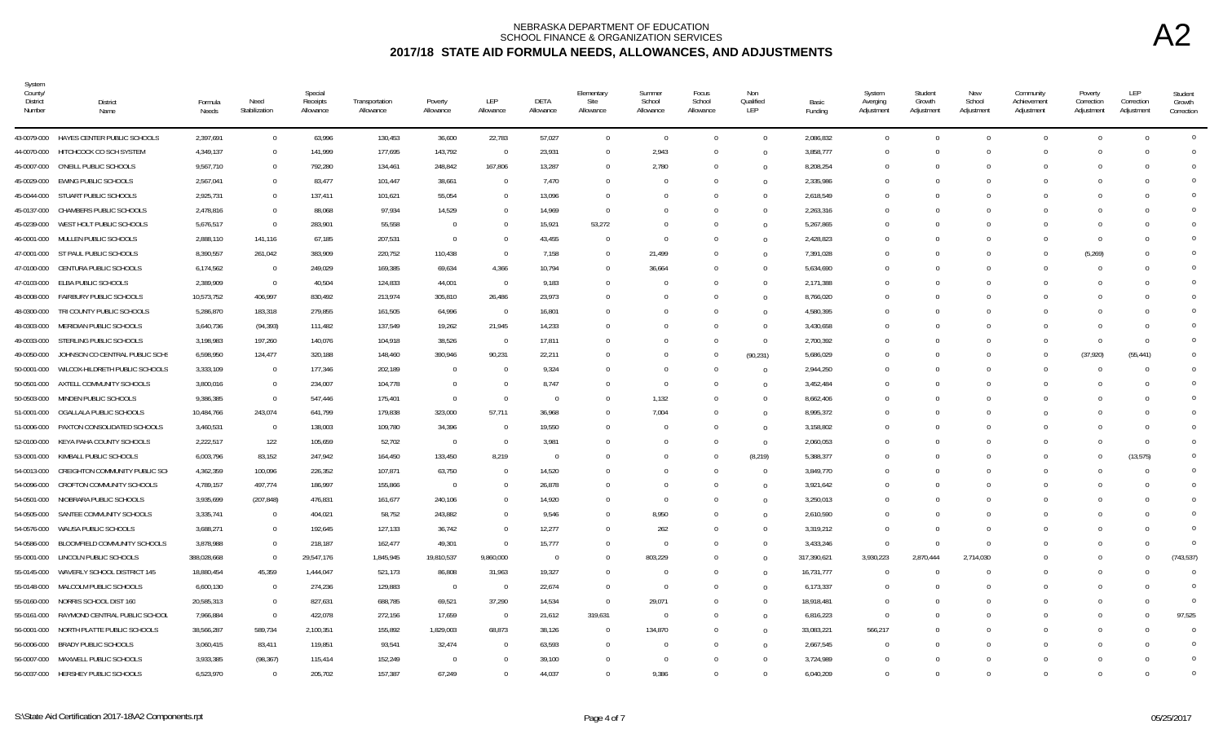| System<br>County/<br><b>District</b><br>Number | District<br>Name                        | Formula<br>Needs | Need<br>Stabilization | Special<br>Receipts<br>Allowance | Transportation<br>Allowance | Poverty<br>Allowance | LEP<br>Allowance | DETA<br>Allowance | Elementary<br>Site<br>Allowance | Summer<br>School<br>Allowance | Focus<br>School<br>Allowance | Non<br>Qualified<br>LEP | Basic<br>Funding | System<br>Averging<br>Adjustment | Student<br>Growth<br>Adjustment | New<br>School<br>Adjustment | Community<br>Achievement<br>Adjustment | Poverty<br>Correction<br>Adjustment | LEP<br>Correction<br>Adjustment | Student<br>Growth<br>Correction |
|------------------------------------------------|-----------------------------------------|------------------|-----------------------|----------------------------------|-----------------------------|----------------------|------------------|-------------------|---------------------------------|-------------------------------|------------------------------|-------------------------|------------------|----------------------------------|---------------------------------|-----------------------------|----------------------------------------|-------------------------------------|---------------------------------|---------------------------------|
|                                                | 43-0079-000 HAYES CENTER PUBLIC SCHOOLS | 2,397,691        | $\Omega$              | 63,996                           | 130,453                     | 36,600               | 22,783           | 57,027            | $\mathbf{0}$                    | $\Omega$                      | $\Omega$                     | $\Omega$                | 2,086,832        | $\Omega$                         | $\Omega$                        | $\Omega$                    | $\Omega$                               | $\Omega$                            | $\bigcap$                       | $\overline{0}$                  |
| 44-0070-000                                    | HITCHCOCK CO SCH SYSTEM                 | 4,349,137        | $\mathbf{0}$          | 141,999                          | 177,695                     | 143,792              | $\Omega$         | 23,931            | $\Omega$                        | 2,943                         |                              | $\overline{0}$          | 3,858,777        | $\Omega$                         |                                 |                             | $\Omega$                               | $\Omega$                            |                                 | $\Omega$                        |
|                                                | 45-0007-000 O'NEILL PUBLIC SCHOOLS      | 9,567,710        | $\mathbf 0$           | 792,280                          | 134,461                     | 248,842              | 167,806          | 13,287            | $\Omega$                        | 2,780                         | $\Omega$                     | $\overline{0}$          | 8,208,254        | $\Omega$                         | $\Omega$                        |                             | $\Omega$                               | $\Omega$                            |                                 | $\Omega$                        |
| 45-0029-000                                    | EWING PUBLIC SCHOOLS                    | 2,567,041        | $\mathbf{0}$          | 83,477                           | 101,447                     | 38,661               | $\Omega$         | 7,470             | $\Omega$                        |                               |                              | $\overline{0}$          | 2,335,986        | - 0                              |                                 |                             |                                        | $\Omega$                            |                                 | $\Omega$                        |
|                                                | 45-0044-000 STUART PUBLIC SCHOOLS       | 2,925,731        | $\mathbf 0$           | 137,411                          | 101,621                     | 55,054               | $\Omega$         | 13,096            | $\Omega$                        |                               |                              | $\Omega$                | 2,618,549        | $\Omega$                         |                                 |                             |                                        | $\bigcap$                           |                                 | $\Omega$                        |
| 45-0137-000                                    | CHAMBERS PUBLIC SCHOOLS                 | 2,478,816        | $\Omega$              | 88,068                           | 97,934                      | 14,529               |                  | 14,969            | $\Omega$                        |                               |                              | $\Omega$                | 2,263,316        | C                                |                                 |                             |                                        |                                     |                                 | $\Omega$                        |
| 45-0239-000                                    | WEST HOLT PUBLIC SCHOOLS                | 5,676,517        | $\mathbf{0}$          | 283,901                          | 55,558                      | $\overline{0}$       |                  | 15,921            | 53,272                          |                               |                              | $\Omega$                | 5,267,865        | $\epsilon$                       |                                 |                             |                                        | $\Omega$                            |                                 | $\overline{0}$                  |
| 46-0001-000                                    | MULLEN PUBLIC SCHOOLS                   | 2,888,110        | 141,116               | 67,185                           | 207,531                     | $\overline{0}$       | $\Omega$         | 43,455            | $\Omega$                        | $\Omega$                      |                              | $\Omega$                | 2,428,823        | $\Omega$                         | $\Omega$                        |                             | $\Omega$                               | $\overline{0}$                      |                                 | $\overline{0}$                  |
| 47-0001-000                                    | ST PAUL PUBLIC SCHOOLS                  | 8,390,557        | 261,042               | 383,909                          | 220,752                     | 110,438              | $\Omega$         | 7,158             | $\Omega$                        | 21,499                        | $\Omega$                     | $\overline{0}$          | 7,391,028        | $\Omega$                         | $\Omega$                        |                             | $\Omega$                               | (5,269)                             |                                 | $\Omega$                        |
| 47-0100-000                                    | CENTURA PUBLIC SCHOOLS                  | 6,174,562        | $\overline{0}$        | 249,029                          | 169,385                     | 69,634               | 4,366            | 10,794            | $\Omega$                        | 36,664                        |                              | $\overline{0}$          | 5,634,690        | - 0                              |                                 |                             | $\Omega$                               | $\Omega$                            |                                 | $\Omega$                        |
| 47-0103-000                                    | ELBA PUBLIC SCHOOLS                     | 2,389,909        | $\overline{0}$        | 40,504                           | 124,833                     | 44,001               | $\overline{0}$   | 9,183             | $\Omega$                        |                               |                              | $\overline{0}$          | 2,171,388        | $\Omega$                         |                                 |                             |                                        | $\bigcap$                           |                                 | $\Omega$                        |
| 48-0008-000                                    | FAIRBURY PUBLIC SCHOOLS                 | 10,573,752       | 406,997               | 830,492                          | 213,974                     | 305,810              | 26,486           | 23,973            | -0                              |                               |                              | $\Omega$                | 8,766,020        | -0                               |                                 |                             |                                        | $\Omega$                            |                                 | $\Omega$                        |
| 48-0300-000                                    | TRI COUNTY PUBLIC SCHOOLS               | 5,286,870        | 183,318               | 279,855                          | 161,505                     | 64,996               | $\overline{0}$   | 16,801            |                                 |                               |                              | $\Omega$                | 4,580,395        |                                  |                                 |                             |                                        |                                     |                                 | $\overline{0}$                  |
| 48-0303-000                                    | MERIDIAN PUBLIC SCHOOLS                 | 3,640,736        | (94, 393)             | 111,482                          | 137,549                     | 19,262               | 21,945           | 14,233            | $\Omega$                        |                               |                              | $\overline{0}$          | 3,430,658        | $\Omega$                         |                                 |                             |                                        | $\Omega$                            |                                 | $\Omega$                        |
|                                                | 49-0033-000 STERLING PUBLIC SCHOOLS     | 3,198,983        | 197,260               | 140,076                          | 104,918                     | 38,526               | $\overline{0}$   | 17,811            | $\Omega$                        |                               |                              | $\overline{0}$          | 2,700,392        | - 0                              |                                 |                             | $\Omega$                               | $\Omega$                            | $\cap$                          | $\Omega$                        |
| 49-0050-000                                    | JOHNSON CO CENTRAL PUBLIC SCHS          | 6,598,950        | 124,477               | 320,188                          | 148,460                     | 390.946              | 90,231           | 22,211            | $\Omega$                        |                               | $\Omega$                     | (90, 231)               | 5,686,029        | - 0                              |                                 |                             | $\Omega$                               | (37, 920)                           | (55, 441)                       | $\Omega$                        |
| 50-0001-000                                    | WILCOX-HILDRETH PUBLIC SCHOOLS          | 3,333,109        | $\bf 0$               | 177,346                          | 202,189                     | $\overline{0}$       |                  | 9,324             | - 0                             |                               |                              | $\overline{0}$          | 2,944,250        | - 0                              |                                 |                             | n                                      | - 0                                 |                                 | $\Omega$                        |
| 50-0501-000                                    | AXTELL COMMUNITY SCHOOLS                | 3,800,016        | $\mathbf{0}$          | 234,007                          | 104,778                     | $\overline{0}$       | $\Omega$         | 8,747             | $\Omega$                        | $\mathbf 0$                   |                              | $\Omega$                | 3,452,484        | $\Omega$                         |                                 |                             |                                        | $\Omega$                            |                                 | $\overline{0}$                  |
| 50-0503-000                                    | MINDEN PUBLIC SCHOOLS                   | 9,386,385        | $\Omega$              | 547,446                          | 175,401                     | $\overline{0}$       | $\Omega$         | $\Omega$          |                                 | 1,132                         |                              | $\Omega$                | 8,662,406        | $\epsilon$                       |                                 |                             |                                        |                                     |                                 | $\Omega$                        |
| 51-0001-000                                    | OGALLALA PUBLIC SCHOOLS                 | 10,484,766       | 243,074               | 641,799                          | 179,838                     | 323,000              | 57,711           | 36,968            | $\Omega$                        | 7,004                         |                              | $\Omega$                | 8,995,372        | $\Omega$                         |                                 |                             |                                        |                                     |                                 | $\Omega$                        |
| 51-0006-000                                    | PAXTON CONSOLIDATED SCHOOLS             | 3,460,531        | $\overline{0}$        | 138,003                          | 109,780                     | 34,396               | $\Omega$         | 19,550            | $\Omega$                        |                               |                              | $\overline{0}$          | 3,158,802        | - ( )                            |                                 |                             | $\Omega$                               | $\bigcap$                           |                                 | $\Omega$                        |
| 52-0100-000                                    | KEYA PAHA COUNTY SCHOOLS                | 2,222,517        | 122                   | 105,659                          | 52,702                      | $\overline{0}$       | $\Omega$         | 3,981             | - 0                             |                               |                              | $\overline{0}$          | 2,060,053        | - 0                              |                                 |                             | n                                      | - 0                                 | - 0                             | $\Omega$                        |
| 53-0001-000                                    | KIMBALL PUBLIC SCHOOLS                  | 6,003,796        | 83,152                | 247,942                          | 164,450                     | 133,450              | 8,219            | $\Omega$          |                                 |                               |                              | (8, 219)                | 5,388,377        | $\Omega$                         |                                 |                             |                                        | $\Omega$                            | (13, 575)                       | $\overline{0}$                  |
| 54-0013-000                                    | CREIGHTON COMMUNITY PUBLIC SCH          | 4,362,359        | 100,096               | 226,352                          | 107,871                     | 63,750               | $\Omega$         | 14,520            |                                 |                               |                              | $\overline{0}$          | 3,849,770        | $\Omega$                         |                                 |                             | $\Omega$                               | $\bigcap$                           | $\Omega$                        | $\overline{0}$                  |
| 54-0096-000                                    | CROFTON COMMUNITY SCHOOLS               | 4,789,157        | 497,774               | 186,997                          | 155,866                     | $\overline{0}$       |                  | 26,878            |                                 |                               |                              | $\Omega$                | 3,921,642        |                                  |                                 |                             |                                        |                                     |                                 | $\Omega$                        |
| 54-0501-000                                    | NIOBRARA PUBLIC SCHOOLS                 | 3,935,699        | (207, 848)            | 476,831                          | 161,677                     | 240,106              | $\Omega$         | 14,920            | $\Omega$                        | $\Omega$                      |                              | $\Omega$                | 3,250,013        | $\Omega$                         |                                 |                             |                                        |                                     |                                 | $\Omega$                        |
| 54-0505-000                                    | SANTEE COMMUNITY SCHOOLS                | 3,335,741        | $\bf 0$               | 404,021                          | 58,752                      | 243,882              | $\Omega$         | 9,546             | $\Omega$                        | 8,950                         |                              | $\overline{0}$          | 2,610,590        | -0                               |                                 |                             |                                        | - 0                                 |                                 | $\Omega$                        |
| 54-0576-000                                    | WAUSA PUBLIC SCHOOLS                    | 3,688,271        | $\bf{0}$              | 192,645                          | 127,133                     | 36,742               | $\overline{0}$   | 12,277            | - 0                             | 262                           |                              | $\overline{0}$          | 3,319,212        | $\Omega$                         |                                 | $\Omega$                    | $\Omega$                               | $\Omega$                            |                                 | $\Omega$                        |
| 54-0586-000                                    | BLOOMFIELD COMMUNITY SCHOOLS            | 3,878,988        | $\mathbf{0}$          | 218,187                          | 162,477                     | 49,301               | $\Omega$         | 15,777            | $\Omega$                        | $\Omega$                      |                              | $\Omega$                | 3,433,246        | - 0                              |                                 | $\bigcap$                   | $\Omega$                               | $\Omega$                            |                                 | $\Omega$                        |
| 55-0001-000                                    | LINCOLN PUBLIC SCHOOLS                  | 388,028,668      | $\Omega$              | 29,547,176                       | 1,845,945                   | 19,810,537           | 9,860,000        | $\Omega$          | $\Omega$                        | 803,229                       |                              | $\Omega$                | 317,390,621      | 3,930,223                        | 2,870,444                       | 2,714,030                   |                                        |                                     |                                 | (743, 537)                      |
| 55-0145-000                                    | WAVERLY SCHOOL DISTRICT 145             | 18,880,454       | 45,359                | 1,444,047                        | 521,173                     | 86,808               | 31,963           | 19,327            | $\Omega$                        |                               |                              | $\Omega$                | 16,731,777       | $\Omega$                         |                                 |                             |                                        | $\Omega$                            |                                 | $\Omega$                        |
| 55-0148-000                                    | MALCOLM PUBLIC SCHOOLS                  | 6,600,130        | $\mathbf{0}$          | 274,236                          | 129,883                     | $\overline{0}$       | $\overline{0}$   | 22,674            | $\Omega$                        | $\Omega$                      |                              | $\Omega$                | 6,173,337        | $\Omega$                         |                                 |                             |                                        |                                     |                                 | $\overline{0}$                  |
| 55-0160-000                                    | NORRIS SCHOOL DIST 160                  | 20,585,313       | $\Omega$              | 827,631                          | 688,785                     | 69,521               | 37,290           | 14,534            | $\Omega$                        | 29,071                        | $\Omega$                     | $\overline{0}$          | 18,918,481       | - 0                              |                                 |                             |                                        | $\Omega$                            |                                 | $\overline{0}$                  |
| 55-0161-000                                    | RAYMOND CENTRAL PUBLIC SCHOOL           | 7,966,884        | $\mathbf{0}$          | 422,078                          | 272,156                     | 17,659               | $\overline{0}$   | 21,612            | 319,631                         | $\Omega$                      |                              | $\overline{0}$          | 6,816,223        | - 0                              |                                 |                             |                                        | $\Omega$                            |                                 | 97,525                          |
| 56-0001-000                                    | NORTH PLATTE PUBLIC SCHOOLS             | 38,566,287       | 589,734               | 2,100,351                        | 155,892                     | 1,829,003            | 68,873           | 38,126            | $\Omega$                        | 134,870                       |                              | $\Omega$                | 33,083,221       | 566,217                          |                                 |                             | $\Omega$                               | $\Omega$                            |                                 | $\Omega$                        |
| 56-0006-000                                    | BRADY PUBLIC SCHOOLS                    | 3,060,415        | 83,411                | 119,851                          | 93,541                      | 32,474               |                  | 63,593            | $\Omega$                        |                               |                              | $\Omega$                | 2,667,545        | $\Omega$                         |                                 |                             |                                        | $\Omega$                            |                                 | $\Omega$                        |
| 56-0007-000                                    | MAXWELL PUBLIC SCHOOLS                  | 3,933,385        | (98, 367)             | 115,414                          | 152,249                     | $\overline{0}$       |                  | 39,100            |                                 | $\Omega$                      |                              | $\Omega$                | 3,724,989        | $\Omega$                         |                                 |                             |                                        |                                     |                                 | $\overline{0}$                  |
|                                                | 56-0037-000 HERSHEY PUBLIC SCHOOLS      | 6,523,970        | $\Omega$              | 205,702                          | 157,387                     | 67,249               |                  | 44.037            | $\Omega$                        | 9,386                         |                              | $\Omega$                | 6,040,209        | $\Omega$                         |                                 |                             | $\Omega$                               | $\Omega$                            |                                 | $\overline{0}$                  |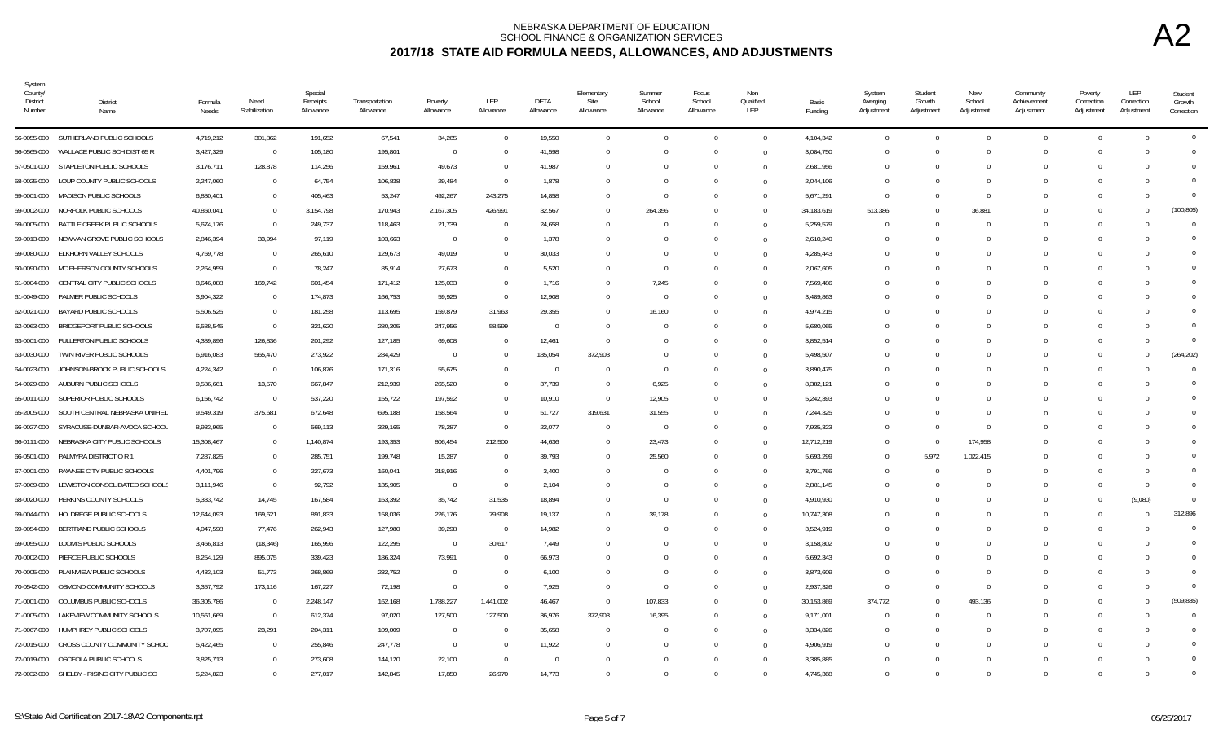| System<br>County/<br><b>District</b><br>Number | <b>District</b><br>Name                    | Formula<br>Needs | Need<br>Stabilization | Special<br>Receipts<br>Allowance | Transportation<br>Allowance | Poverty<br>Allowance | LEP<br>Allowance | DETA<br>Allowance | Elementary<br>Site<br>Allowance | Summer<br>School<br>Allowance | Focus<br>School<br>Allowance | Non<br>Qualified<br>LEP | Basic<br>Funding | System<br>Averging<br>Adjustment | Student<br>Growth<br>Adjustment | New<br>School<br>Adjustment | Community<br>Achievement<br>Adjustment | Poverty<br>Correction<br>Adjustment | <b>LEP</b><br>Correction<br>Adjustment | Student<br>Growth<br>Correction |
|------------------------------------------------|--------------------------------------------|------------------|-----------------------|----------------------------------|-----------------------------|----------------------|------------------|-------------------|---------------------------------|-------------------------------|------------------------------|-------------------------|------------------|----------------------------------|---------------------------------|-----------------------------|----------------------------------------|-------------------------------------|----------------------------------------|---------------------------------|
|                                                | 56-0055-000 SUTHERLAND PUBLIC SCHOOLS      | 4,719,212        | 301,862               | 191,652                          | 67,541                      | 34,265               | $\Omega$         | 19,550            | $\Omega$                        | $\Omega$                      | $\Omega$                     | $\theta$                | 4,104,342        | $\overline{0}$                   | $\Omega$                        | $\Omega$                    | $\overline{0}$                         | $\Omega$                            | $\bigcap$                              | $\mathbf 0$                     |
| 56-0565-000                                    | WALLACE PUBLIC SCH DIST 65 R               | 3,427,329        | $\Omega$              | 105,180                          | 195,801                     | $\overline{0}$       |                  | 41,598            |                                 | $\Omega$                      |                              | $\overline{0}$          | 3,084,750        | $\Omega$                         | $\Omega$                        | $\Omega$                    | $\Omega$                               | $\Omega$                            |                                        | $\Omega$                        |
|                                                | 57-0501-000 STAPLETON PUBLIC SCHOOLS       | 3,176,711        | 128,878               | 114,256                          | 159,961                     | 49,673               | 0                | 41,987            |                                 | $\Omega$                      | $\Omega$                     | $\Omega$                | 2,681,956        | $\Omega$                         | $\Omega$                        | $\Omega$                    | $\Omega$                               | $\Omega$                            |                                        | $\Omega$                        |
| 58-0025-000                                    | LOUP COUNTY PUBLIC SCHOOLS                 | 2,247,060        | $\mathbf 0$           | 64,754                           | 106,838                     | 29,484               | $\mathbf{0}$     | 1,878             |                                 | $\Omega$                      | $\Omega$                     | $\Omega$                | 2,044,106        | $\Omega$                         | $\Omega$                        | $\Omega$                    | $\Omega$                               | $\Omega$                            |                                        | $\Omega$                        |
|                                                | 59-0001-000 MADISON PUBLIC SCHOOLS         | 6,880,401        | $\mathbf 0$           | 405,463                          | 53,247                      | 492,267              | 243,275          | 14,858            |                                 | $\Omega$                      | $\Omega$                     | $\Omega$                | 5,671,291        | - 0                              | $\Omega$                        | $\Omega$                    | $\Omega$                               | $\cap$                              |                                        | $\Omega$                        |
| 59-0002-000                                    | NORFOLK PUBLIC SCHOOLS                     | 40,850,041       | $\mathbf 0$           | 3,154,798                        | 170,943                     | 2,167,305            | 426,991          | 32,567            |                                 | 264,356                       |                              | $\Omega$                | 34, 183, 619     | 513,386                          | $\Omega$                        | 36.881                      | $\Omega$                               |                                     |                                        | (100, 805)                      |
| 59-0005-000                                    | BATTLE CREEK PUBLIC SCHOOLS                | 5,674,176        | $\Omega$              | 249,737                          | 118,463                     | 21,739               |                  | 24,658            |                                 | $\Omega$                      |                              | $\Omega$                | 5,259,579        | $\sqrt{ }$                       |                                 |                             | $\Omega$                               | $\Omega$                            |                                        | $\Omega$                        |
| 59-0013-000                                    | NEWMAN GROVE PUBLIC SCHOOLS                | 2,846,394        | 33,994                | 97,119                           | 103,663                     | $\overline{0}$       | U                | 1,378             |                                 | $\Omega$                      | $\Omega$                     | $\Omega$                | 2,610,240        | $\Omega$                         | $\Omega$                        | $\Omega$                    | $\Omega$                               | $\cap$                              |                                        | $\Omega$                        |
| 59-0080-000                                    | ELKHORN VALLEY SCHOOLS                     | 4,759,778        | $\mathbf 0$           | 265,610                          | 129,673                     | 49,019               | 0                | 30,033            |                                 | $\Omega$                      | $\Omega$                     | $\overline{0}$          | 4,285,443        | - 0                              | $\Omega$                        | $\Omega$                    | $\Omega$                               | $\Omega$                            |                                        | $\Omega$                        |
|                                                | 60-0090-000 MC PHERSON COUNTY SCHOOLS      | 2,264,959        | $\mathbf 0$           | 78,247                           | 85,914                      | 27,673               | 0                | 5,520             |                                 | $\Omega$                      | $\Omega$                     | $\Omega$                | 2,067,605        | - 0                              | $\Omega$                        | $\Omega$                    | $\Omega$                               | $\Omega$                            |                                        | $\Omega$                        |
| 61-0004-000                                    | CENTRAL CITY PUBLIC SCHOOLS                | 8,646,088        | 169,742               | 601,454                          | 171,412                     | 125,033              | $\Omega$         | 1,716             |                                 | 7,245                         |                              | $\Omega$                | 7,569,486        |                                  | $\Omega$                        |                             | $\Omega$                               |                                     |                                        | $\Omega$                        |
| 61-0049-000                                    | PALMER PUBLIC SCHOOLS                      | 3,904,322        | $\mathbf 0$           | 174,873                          | 166,753                     | 59,925               | $\Omega$         | 12,908            |                                 | $\Omega$                      |                              | $\Omega$                | 3,489,863        | - 0                              | $\Omega$                        |                             | $\Omega$                               |                                     |                                        | $\cup$                          |
| 62-0021-000                                    | BAYARD PUBLIC SCHOOLS                      | 5,506,525        | $\Omega$              | 181,258                          | 113,695                     | 159,879              | 31,963           | 29,355            |                                 | 16,160                        |                              | $\Omega$                | 4,974,215        |                                  | $\Omega$                        |                             | $\Omega$                               |                                     |                                        | $\Omega$                        |
| 62-0063-000                                    | BRIDGEPORT PUBLIC SCHOOLS                  | 6,588,545        | $\mathbf 0$           | 321,620                          | 280,305                     | 247,956              | 58,599           | $\overline{0}$    |                                 | $\Omega$                      | $\Omega$                     | $\theta$                | 5,680,065        | - 0                              | $\Omega$                        | $\Omega$                    | $\Omega$                               | $\cap$                              |                                        | $\Omega$                        |
|                                                | 63-0001-000 FULLERTON PUBLIC SCHOOLS       | 4,389,896        | 126,836               | 201,292                          | 127,185                     | 69,608               | $\Omega$         | 12,461            | - 0                             | $\Omega$                      | $\Omega$                     | $\Omega$                | 3,852,514        | - 0                              | $\Omega$                        | $\Omega$                    | $\Omega$                               | $\Omega$                            |                                        | $\Omega$                        |
| 63-0030-000                                    | TWIN RIVER PUBLIC SCHOOLS                  | 6,916,083        | 565,470               | 273,922                          | 284,429                     | $\overline{0}$       | <sup>0</sup>     | 185,054           | 372,903                         | $\Omega$                      | $\Omega$                     | $\Omega$                | 5,498,507        | - 0                              | $\Omega$                        | $\Omega$                    | $\Omega$                               | $\Omega$                            | $\bigcap$                              | (264, 202)                      |
| 64-0023-000                                    | JOHNSON-BROCK PUBLIC SCHOOLS               | 4,224,342        | $\overline{0}$        | 106,876                          | 171,316                     | 55,675               |                  | $\cap$            |                                 | $\Omega$                      |                              | $\Omega$                | 3,890,475        |                                  | $\Omega$                        |                             | $\Omega$                               | $\Omega$                            |                                        | $\Omega$                        |
| 64-0029-000                                    | AUBURN PUBLIC SCHOOLS                      | 9,586,661        | 13,570                | 667,847                          | 212,939                     | 265,520              | $\Omega$         | 37,739            |                                 | 6,925                         |                              | $\Omega$                | 8,382,121        |                                  | $\Omega$                        |                             | $\Omega$                               |                                     |                                        | $\Omega$                        |
| 65-0011-000                                    | SUPERIOR PUBLIC SCHOOLS                    | 6,156,742        | $\overline{0}$        | 537,220                          | 155,722                     | 197,592              | $\Omega$         | 10,910            | $\Omega$                        | 12,905                        | $\Omega$                     | $\overline{0}$          | 5,242,393        |                                  | $\Omega$                        |                             | $\Omega$                               |                                     |                                        | $\Omega$                        |
| 65-2005-000                                    | SOUTH CENTRAL NEBRASKA UNIFIED             | 9,549,319        | 375,681               | 672,648                          | 695,188                     | 158,564              | $\Omega$         | 51,727            | 319,631                         | 31,555                        |                              | $\overline{0}$          | 7,244,325        | - 0                              | $\Omega$                        | $\Omega$                    | $\Omega$                               |                                     |                                        | $\Omega$                        |
| 66-0027-000                                    | SYRACUSE-DUNBAR-AVOCA SCHOOL               | 8,933,965        | $\overline{0}$        | 569,113                          | 329,165                     | 78,287               | $\mathbf{0}$     | 22,077            | $\Omega$                        | $\overline{0}$                | $\Omega$                     | $\Omega$                | 7,935,323        | - 0                              | $\Omega$                        | $\Omega$                    | $\Omega$                               | $\Omega$                            |                                        | $\cup$                          |
| 66-0111-000                                    | NEBRASKA CITY PUBLIC SCHOOLS               | 15,308,467       | $\mathbf 0$           | 1,140,874                        | 193,353                     | 806,454              | 212,500          | 44,636            | - 0                             | 23,473                        |                              | $\Omega$                | 12,712,219       | $\Omega$                         | $\Omega$                        | 174,958                     | $\Omega$                               |                                     |                                        | $\cup$                          |
| 66-0501-000                                    | PALMYRA DISTRICT O R 1                     | 7,287,825        | $\Omega$              | 285,751                          | 199,748                     | 15,287               | $\Omega$         | 39,793            |                                 | 25,560                        |                              | $\Omega$                | 5,693,299        | $\Omega$                         | 5.972                           | 1,022,415                   | $\Omega$                               |                                     |                                        | $\Omega$                        |
| 67-0001-000                                    | PAWNEE CITY PUBLIC SCHOOLS                 | 4,401,796        | $\Omega$              | 227,673                          | 160,041                     | 218,916              | $\Omega$         | 3,400             |                                 | $\theta$                      | $\Omega$                     | $\overline{0}$          | 3,791,766        | $\Omega$                         | $\Omega$                        | $\Omega$                    | $\Omega$                               |                                     |                                        | $\Omega$                        |
|                                                | 67-0069-000 LEWISTON CONSOLIDATED SCHOOLS  | 3,111,946        | $\mathbf 0$           | 92,792                           | 135,905                     | $\overline{0}$       | $\Omega$         | 2,104             |                                 | $\Omega$                      |                              | $\Omega$                | 2,881,145        | - 0                              | $\Omega$                        |                             | $\Omega$                               |                                     |                                        | $\Omega$                        |
| 68-0020-000                                    | PERKINS COUNTY SCHOOLS                     | 5,333,742        | 14,745                | 167,584                          | 163,392                     | 35,742               | 31,535           | 18,894            |                                 | $\Omega$                      | $\Omega$                     | $\overline{0}$          | 4,910,930        |                                  | $\Omega$                        | $\Omega$                    | $\Omega$                               | $\Omega$                            | (9,080)                                | $\Omega$                        |
| 69-0044-000                                    | HOLDREGE PUBLIC SCHOOLS                    | 12,644,093       | 169,621               | 891,833                          | 158,036                     | 226,176              | 79,908           | 19,137            | $\Omega$                        | 39,178                        | $\Omega$                     | $\Omega$                | 10,747,308       | - 0                              | $\Omega$                        | $\Omega$                    | $\Omega$                               | $\cap$                              | $\Omega$                               | 312,896                         |
| 69-0054-000                                    | BERTRAND PUBLIC SCHOOLS                    | 4,047,598        | 77,476                | 262,943                          | 127,980                     | 39,298               | $\overline{0}$   | 14,982            |                                 | $\Omega$                      |                              | $\Omega$                | 3,524,919        |                                  | $\Omega$                        |                             | $\Omega$                               |                                     |                                        | $\overline{0}$                  |
| 69-0055-000                                    | LOOMIS PUBLIC SCHOOLS                      | 3,466,813        | (18, 346)             | 165,996                          | 122,295                     | $\overline{0}$       | 30,617           | 7.449             |                                 | $\Omega$                      | $\Omega$                     | $\Omega$                | 3,158,802        |                                  | $\Omega$                        |                             | $\Omega$                               |                                     |                                        | $\Omega$                        |
|                                                | 70-0002-000 PIERCE PUBLIC SCHOOLS          | 8,254,129        | 895,075               | 339,423                          | 186,324                     | 73,991               | $\Omega$         | 66,973            |                                 | $\Omega$                      |                              | $\Omega$                | 6,692,343        | - 0                              | $\Omega$                        |                             | $\Omega$                               |                                     |                                        | $\Omega$                        |
| 70-0005-000                                    | PLAINVIEW PUBLIC SCHOOLS                   | 4,433,103        | 51,773                | 268,869                          | 232,752                     | $\overline{0}$       | 0                | 6,100             |                                 | $\Omega$                      | $\Omega$                     | $\overline{0}$          | 3,873,609        | $\Omega$                         | $\Omega$                        | $\Omega$                    | $\Omega$                               |                                     |                                        | $\cup$                          |
| 70-0542-000                                    | OSMOND COMMUNITY SCHOOLS                   | 3,357,792        | 173,116               | 167,227                          | 72,198                      | $\overline{0}$       | $\Omega$         | 7,925             |                                 | $\Omega$                      |                              | $\overline{0}$          | 2,937,326        | $\Omega$                         | $\Omega$                        | $\Omega$                    | $\Omega$                               | $\Omega$                            |                                        | $\Omega$                        |
| 71-0001-000                                    | COLUMBUS PUBLIC SCHOOLS                    | 36,305,786       | $\overline{0}$        | 2,248,147                        | 162,168                     | 1,788,227            | 1,441,002        | 46,467            | $\Omega$                        | 107,833                       | $\Omega$                     | $\Omega$                | 30,153,869       | 374,772                          | $\Omega$                        | 493,136                     | $\Omega$                               | $\Omega$                            | $\cap$                                 | (509, 835)                      |
| 71-0005-000                                    | LAKEVIEW COMMUNITY SCHOOLS                 | 10,561,669       | $\overline{0}$        | 612,374                          | 97,020                      | 127,500              | 127,500          | 36,976            | 372,903                         | 16,395                        |                              | $\Omega$                | 9,171,001        | - 0                              | $\Omega$                        | $\Omega$                    | $\Omega$                               | $\cap$                              |                                        | $\Omega$                        |
| 71-0067-000                                    | HUMPHREY PUBLIC SCHOOLS                    | 3,707,095        | 23,291                | 204,311                          | 109,009                     | $\overline{0}$       |                  | 35,658            |                                 | $\theta$                      |                              | $\overline{0}$          | 3,334,826        | $\Omega$                         | $\Omega$                        |                             | $\Omega$                               |                                     |                                        | $\Omega$                        |
| 72-0015-000                                    | CROSS COUNTY COMMUNITY SCHOC               | 5,422,465        | $\mathbf 0$           | 255,846                          | 247,778                     | $\overline{0}$       | 0                | 11,922            |                                 | $\Omega$                      | $\Omega$                     | $\Omega$                | 4,906,919        |                                  | $\Omega$                        |                             | $\Omega$                               |                                     |                                        | $\Omega$                        |
| 72-0019-000                                    | OSCEOLA PUBLIC SCHOOLS                     | 3,825,713        | $\mathbf 0$           | 273,608                          | 144,120                     | 22,100               | $\Omega$         |                   |                                 | $\Omega$                      |                              | $\Omega$                | 3,385,885        |                                  | $\Omega$                        | $\Omega$                    | $\Omega$                               |                                     |                                        | $\Omega$                        |
|                                                | 72-0032-000 SHELBY - RISING CITY PUBLIC SC | 5,224,823        | $\Omega$              | 277.017                          | 142,845                     | 17,850               | 26,970           | 14,773            |                                 | $\Omega$                      | $\Omega$                     | $\Omega$                | 4,745,368        | - 0                              | $\Omega$                        | $\Omega$                    | $\Omega$                               | $\Omega$                            | $\cap$                                 | $\Omega$                        |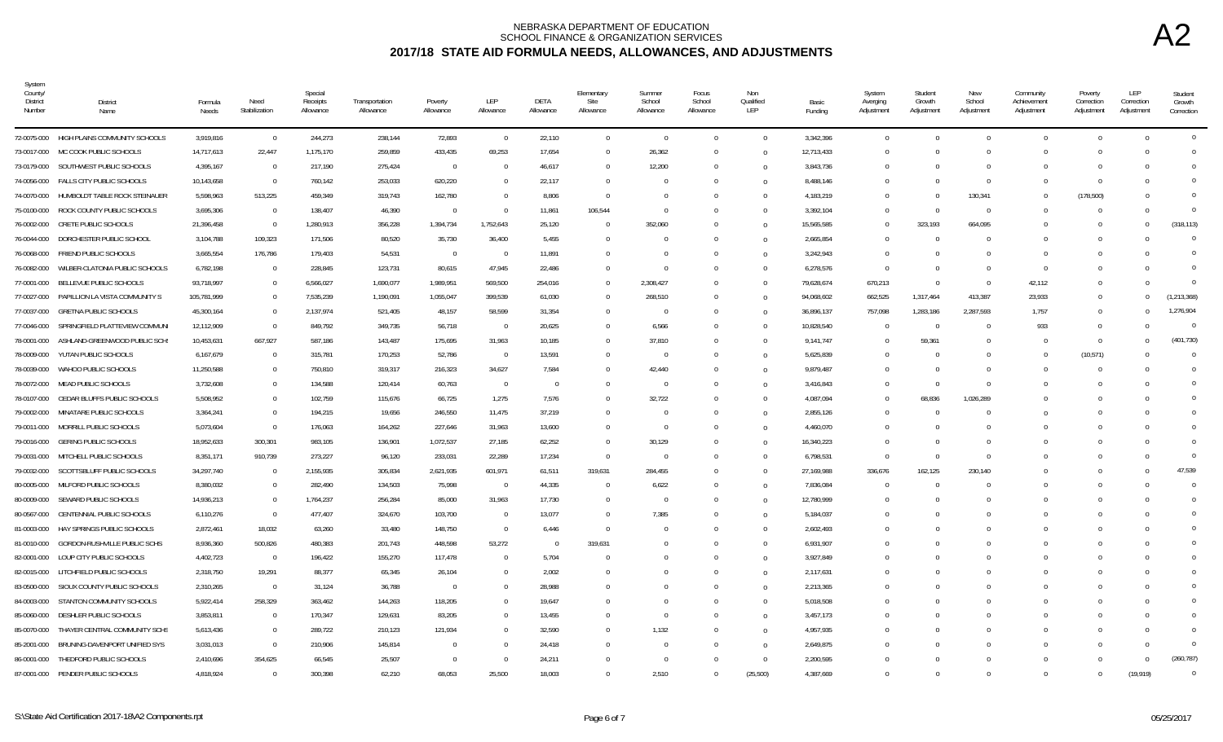| System<br>County/<br>District<br>Number | District<br>Name                           | Formula<br>Needs | Need<br>Stabilization | Special<br>Receipts<br>Allowance | Transportation<br>Allowance | Poverty<br>Allowance | LEP<br>Allowance         | DETA<br>Allowance | Elementary<br>Site<br>Allowance | Summer<br>School<br>Allowance | Focus<br>School<br>Allowance | Non<br>Qualified<br>LEP | Basic<br>Funding | System<br>Averging<br>Adjustment | Student<br>Growth<br>Adjustment | New<br>School<br>Adjustment | Community<br>Achievement<br>Adjustment | Poverty<br>Correction<br>Adjustment | LEP<br>Correction<br>Adjustment | Student<br>Growth<br>Correction |
|-----------------------------------------|--------------------------------------------|------------------|-----------------------|----------------------------------|-----------------------------|----------------------|--------------------------|-------------------|---------------------------------|-------------------------------|------------------------------|-------------------------|------------------|----------------------------------|---------------------------------|-----------------------------|----------------------------------------|-------------------------------------|---------------------------------|---------------------------------|
|                                         | 72-0075-000 HIGH PLAINS COMMUNITY SCHOOLS  | 3,919,816        | $\overline{0}$        | 244,273                          | 238,144                     | 72,893               | $\overline{0}$           | 22,110            | $\overline{0}$                  | $\overline{0}$                | $\Omega$                     | $\Omega$                | 3,342,396        | $\mathbf{0}$                     | $\Omega$                        | $\bigcap$                   | $\overline{0}$                         | $\overline{0}$                      | $\Omega$                        | $\overline{0}$                  |
| 73-0017-000                             | MC COOK PUBLIC SCHOOLS                     | 14,717,613       | 22,447                | 1,175,170                        | 259,859                     | 433,435              | 69,253                   | 17,654            | $\Omega$                        | 26,362                        |                              | $\Omega$                | 12,713,433       | $\overline{0}$                   | $\Omega$                        |                             | $\Omega$                               | $\Omega$                            | $\Omega$                        | $\overline{0}$                  |
|                                         | 73-0179-000 SOUTHWEST PUBLIC SCHOOLS       | 4,395,167        | $\overline{0}$        | 217,190                          | 275,424                     | $\mathbf{0}$         | $\overline{0}$           | 46,617            | $\Omega$                        | 12,200                        |                              | $\Omega$                | 3,843,736        | $\Omega$                         | $\Omega$                        |                             | $\Omega$                               | -0                                  | $\Omega$                        | $\Omega$                        |
|                                         | 74-0056-000 FALLS CITY PUBLIC SCHOOLS      | 10,143,658       | $\overline{0}$        | 760,142                          | 253,033                     | 620,220              | $\overline{0}$           | 22,117            | $\Omega$                        | $\Omega$                      |                              |                         | 8,488,146        | $\Omega$                         | $\Omega$                        | - 0                         | $\Omega$                               | $\Omega$                            | $\Omega$                        | $\Omega$                        |
| 74-0070-000                             | HUMBOLDT TABLE ROCK STEINAUER              | 5,598,963        | 513,225               | 459,349                          | 319,743                     | 162,780              | $\overline{0}$           | 8,806             | $\Omega$                        | $\Omega$                      |                              | $\Omega$                | 4,183,219        | $\Omega$                         |                                 | 130,341                     | $\Omega$                               | (178, 500)                          | - 0                             | $\Omega$                        |
| 75-0100-000                             | ROCK COUNTY PUBLIC SCHOOLS                 | 3,695,306        | $\overline{0}$        | 138,407                          | 46,390                      | $\overline{0}$       | $\Omega$                 | 11,861            | 106,544                         | $\Omega$                      |                              |                         | 3,392,104        | $\Omega$                         | $\Omega$                        | $\Omega$                    | $\Omega$                               | $\Omega$                            | $\Omega$                        | $\overline{0}$                  |
| 76-0002-000                             | CRETE PUBLIC SCHOOLS                       | 21,396,458       | $\overline{0}$        | 1,280,913                        | 356,228                     | 1,394,734            | 1,752,643                | 25,120            |                                 | 352,060                       |                              | $\Omega$                | 15,565,585       | $\mathbf 0$                      | 323,193                         | 664,095                     | $\Omega$                               | $\Omega$                            | $\Omega$                        | (318, 113)                      |
| 76-0044-000                             | DORCHESTER PUBLIC SCHOOL                   | 3,104,788        | 109,323               | 171,506                          | 80,520                      | 35,730               | 36,400                   | 5,455             |                                 | $\Omega$                      |                              | $\Omega$                | 2,665,854        | $\Omega$                         | $\Omega$                        |                             | $\Omega$                               | $\Omega$                            | $\Omega$                        | $\overline{0}$                  |
| 76-0068-000                             | FRIEND PUBLIC SCHOOLS                      | 3,665,554        | 176,786               | 179,403                          | 54,531                      | $\overline{0}$       | $\overline{\phantom{0}}$ | 11,891            | $\Omega$                        | $\Omega$                      |                              | $\Omega$                | 3,242,943        | $\Omega$                         | $\Omega$                        |                             | $\Omega$                               | $\Omega$                            | $\Omega$                        | $\Omega$                        |
|                                         | 76-0082-000 WILBER-CLATONIA PUBLIC SCHOOLS | 6,782,198        | $\overline{0}$        | 228,845                          | 123,731                     | 80,615               | 47,945                   | 22,486            | $\Omega$                        | $\Omega$                      |                              | $\Omega$                | 6,278,576        | $\Omega$                         | $\Omega$                        | - 0                         | $\Omega$                               | - 0                                 | $\Omega$                        | $\Omega$                        |
|                                         | 77-0001-000 BELLEVUE PUBLIC SCHOOLS        | 93,718,997       | $\overline{0}$        | 6,566,027                        | 1,690,077                   | 1,989,951            | 569,500                  | 254,016           | $\Omega$                        | 2,308,427                     |                              |                         | 79,628,674       | 670,213                          | $\Omega$                        | $\Omega$                    | 42,112                                 | $\Omega$                            | $\Omega$                        | $\Omega$                        |
| 77-0027-000                             | PAPILLION LA VISTA COMMUNITY S             | 105,781,999      | $\overline{0}$        | 7,535,239                        | 1,190,091                   | 1,055,047            | 399,539                  | 61,030            | $\Omega$                        | 268,510                       |                              |                         | 94,068,602       | 662,525                          | 1,317,464                       | 413,387                     | 23,933                                 | -0                                  | $^{\circ}$                      | (1, 213, 368)                   |
| 77-0037-000                             | <b>GRETNA PUBLIC SCHOOLS</b>               | 45,300,164       | $\overline{0}$        | 2,137,974                        | 521,405                     | 48,157               | 58,599                   | 31,354            |                                 | 0                             |                              | $\Omega$                | 36,896,137       | 757,098                          | 1,283,186                       | 2,287,593                   | 1,757                                  | $\Omega$                            | $\Omega$                        | 1,276,904                       |
|                                         | 77-0046-000 SPRINGFIELD PLATTEVIEW COMMUN  | 12,112,909       | $\overline{0}$        | 849,792                          | 349,735                     | 56,718               | $\overline{0}$           | 20,625            | $\Omega$                        | 6,566                         |                              | $\Omega$                | 10,828,540       | $\Omega$                         | $\overline{0}$                  | $\Omega$                    | 933                                    | $\Omega$                            | $\Omega$                        | $\overline{0}$                  |
| 78-0001-000                             | ASHLAND-GREENWOOD PUBLIC SCH               | 10,453,631       | 667,927               | 587,186                          | 143,487                     | 175,695              | 31,963                   | 10,185            | $\Omega$                        | 37,810                        |                              | $\Omega$                | 9,141,747        | $\Omega$                         | 59,361                          |                             | $\Omega$                               | $\Omega$                            | $\Omega$                        | (401, 730)                      |
| 78-0009-000                             | YUTAN PUBLIC SCHOOLS                       | 6,167,679        | $\overline{0}$        | 315,781                          | 170,253                     | 52,786               | $\overline{\phantom{0}}$ | 13,591            | $\Omega$                        | $\overline{0}$                |                              | $\Omega$                | 5,625,839        | $\Omega$                         | $\Omega$                        |                             | $\Omega$                               | (10, 571)                           | $\Omega$                        | $\overline{0}$                  |
| 78-0039-000                             | WAHOO PUBLIC SCHOOLS                       | 11,250,588       | $\overline{0}$        | 750,810                          | 319,317                     | 216,323              | 34,627                   | 7,584             | $\bigcap$                       | 42,440                        |                              | $\Omega$                | 9,879,487        | $\Omega$                         | $\Omega$                        |                             | $\Omega$                               | - 0                                 | $\Omega$                        | $\overline{0}$                  |
| 78-0072-000                             | MEAD PUBLIC SCHOOLS                        | 3,732,608        | $\Omega$              | 134,588                          | 120,414                     | 60,763               | $\overline{0}$           | $^{\circ}$        |                                 | $\overline{0}$                |                              | $\Omega$                | 3,416,843        | $\mathbf 0$                      | $\Omega$                        |                             |                                        | $\Omega$                            | - 0                             | $\overline{0}$                  |
| 78-0107-000                             | CEDAR BLUFFS PUBLIC SCHOOLS                | 5,508,952        | $\Omega$              | 102,759                          | 115,676                     | 66,725               | 1,275                    | 7,576             | $\Omega$                        | 32,722                        |                              | $\Omega$                | 4,087,094        | $\Omega$                         | 68,836                          | 1,026,289                   |                                        |                                     | - 0                             | $\Omega$                        |
| 79-0002-000                             | MINATARE PUBLIC SCHOOLS                    | 3,364,241        | $\Omega$              | 194,215                          | 19,656                      | 246,550              | 11,475                   | 37,219            |                                 | - 0                           |                              | $\Omega$                | 2,855,126        | $\Omega$                         | $\Omega$                        |                             | $\Omega$                               |                                     | $\Omega$                        | $\Omega$                        |
| 79-0011-000                             | MORRILL PUBLIC SCHOOLS                     | 5,073,604        | $\overline{0}$        | 176,063                          | 164,262                     | 227,646              | 31,963                   | 13,600            | $\Omega$                        | $\overline{0}$                |                              | $\cap$                  | 4,460,070        | $\Omega$                         | $\Omega$                        |                             | $\Omega$                               | - ( )                               | $\Omega$                        | $\Omega$                        |
| 79-0016-000                             | <b>GERING PUBLIC SCHOOLS</b>               | 18,952,633       | 300,301               | 983,105                          | 136,901                     | 1,072,537            | 27,185                   | 62,252            | $\Omega$                        | 30,129                        |                              | $\Omega$                | 16,340,223       | $\Omega$                         |                                 |                             |                                        |                                     | - 0                             | $\Omega$                        |
| 79-0031-000                             | MITCHELL PUBLIC SCHOOLS                    | 8,351,171        | 910,739               | 273,227                          | 96,120                      | 233,031              | 22,289                   | 17,234            | $\overline{0}$                  | $\overline{0}$                |                              |                         | 6,798,531        | $\overline{0}$                   | $\Omega$                        | - 0                         | $\Omega$                               | $\Omega$                            | $\Omega$                        | $\overline{0}$                  |
| 79-0032-000                             | SCOTTSBLUFF PUBLIC SCHOOLS                 | 34,297,740       | $\overline{0}$        | 2,155,935                        | 305,834                     | 2,621,935            | 601,971                  | 61,511            | 319,631                         | 284,455                       |                              |                         | 27,169,988       | 336,676                          | 162,125                         | 230,140                     | $\Omega$                               | $\Omega$                            | - 0                             | 47,539                          |
| 80-0005-000                             | MILFORD PUBLIC SCHOOLS                     | 8,380,032        | $\overline{0}$        | 282,490                          | 134,503                     | 75,998               | $\overline{\phantom{0}}$ | 44,335            |                                 | 6,622                         |                              | $\Omega$                | 7,836,084        | $\Omega$                         | $\Omega$                        |                             |                                        | $\Omega$                            | $\Omega$                        | $\overline{0}$                  |
| 80-0009-000                             | SEWARD PUBLIC SCHOOLS                      | 14,936,213       | $\overline{0}$        | 1,764,237                        | 256,284                     | 85,000               | 31,963                   | 17,730            | $\Omega$                        | - 0                           |                              |                         | 12,780,999       | $\Omega$                         | $\Omega$                        |                             | $\Omega$                               | $\Omega$                            | $\Omega$                        | $\overline{0}$                  |
| 80-0567-000                             | CENTENNIAL PUBLIC SCHOOLS                  | 6,110,276        | $\overline{0}$        | 477,407                          | 324,670                     | 103,700              | $\overline{0}$           | 13,077            | $\cap$                          | 7,385                         |                              | $\Omega$                | 5,184,037        | $\Omega$                         | $\Omega$                        |                             | $\cap$                                 | - 0                                 | - 0                             | $\mathbf{0}$                    |
| 81-0003-000                             | HAY SPRINGS PUBLIC SCHOOLS                 | 2,872,461        | 18,032                | 63,260                           | 33,480                      | 148,750              | $\overline{\phantom{0}}$ | 6,446             | $\Omega$                        | - 0                           |                              | $\Omega$                | 2,602,493        | $\Omega$                         | $\Omega$                        |                             | $\Omega$                               | - 0                                 | - 0                             | $\Omega$                        |
| 81-0010-000                             | GORDON-RUSHVILLE PUBLIC SCHS               | 8,936,360        | 500,826               | 480,383                          | 201,743                     | 448,598              | 53,272                   | $\Omega$          | 319,631                         | - 0                           |                              | $\Omega$                | 6,931,907        | $\Omega$                         |                                 |                             |                                        | C                                   | - 0                             | $\Omega$                        |
|                                         | 82-0001-000 LOUP CITY PUBLIC SCHOOLS       | 4,402,723        | $\overline{0}$        | 196,422                          | 155,270                     | 117,478              | $\Omega$                 | 5,704             |                                 | $\Omega$                      |                              |                         | 3,927,849        | $\Omega$                         | $\Omega$                        |                             | $\Omega$                               |                                     | $\Omega$                        | $\Omega$                        |
| 82-0015-000                             | LITCHFIELD PUBLIC SCHOOLS                  | 2,318,750        | 19,291                | 88,377                           | 65,345                      | 26,104               | $\Omega$                 | 2,002             |                                 | $\Omega$                      |                              | $\Omega$                | 2,117,631        | $\Omega$                         | $\Omega$                        |                             |                                        | $\Omega$                            | $\Omega$                        | $\Omega$                        |
| 83-0500-000                             | SIOUX COUNTY PUBLIC SCHOOLS                | 2,310,265        | $\overline{0}$        | 31,124                           | 36,788                      | $\overline{0}$       | $^{\circ}$               | 28,988            |                                 | $\Omega$                      |                              | $\Omega$                | 2,213,365        | $\Omega$                         |                                 |                             |                                        |                                     | - 0                             | $\overline{0}$                  |
|                                         | 84-0003-000 STANTON COMMUNITY SCHOOLS      | 5,922,414        | 258,329               | 363,462                          | 144,263                     | 118,205              | $\Omega$                 | 19,647            |                                 | - 0                           |                              | $\Omega$                | 5,018,508        | $\Omega$                         | $\Omega$                        |                             | $\Omega$                               | - 0                                 | $\Omega$                        | $\Omega$                        |
|                                         | 85-0060-000 DESHLER PUBLIC SCHOOLS         | 3,853,811        | $\overline{0}$        | 170,347                          | 129,631                     | 83,205               | $\Omega$                 | 13,455            | $\cap$                          | $\bigcap$                     |                              | $\Omega$                | 3,457,173        | $\Omega$                         | $\Omega$                        |                             | $\Omega$                               | - 0                                 | $\Omega$                        | $\Omega$                        |
| 85-0070-000                             | THAYER CENTRAL COMMUNITY SCHS              | 5,613,436        | $\overline{0}$        | 289,722                          | 210,123                     | 121,934              | $\Omega$                 | 32,590            | $\bigcap$                       | 1,132                         |                              |                         | 4,957,935        | $\Omega$                         | $\Omega$                        |                             | $\Omega$                               | $\Omega$                            | $\Omega$                        | $\overline{0}$                  |
| 85-2001-000                             | BRUNING-DAVENPORT UNIFIED SYS              | 3,031,013        | $\overline{0}$        | 210,906                          | 145,814                     | $\Omega$             | $\Omega$                 | 24,418            |                                 | $\Omega$                      |                              | $\Omega$                | 2,649,875        | $\Omega$                         |                                 |                             |                                        | $\Omega$                            | $\Omega$                        | $\overline{0}$                  |
| 86-0001-000                             | THEDFORD PUBLIC SCHOOLS                    | 2,410,696        | 354,625               | 66,545                           | 25,507                      | $\Omega$             | 0                        | 24,211            |                                 | $\mathbf{0}$                  |                              | $\Omega$                | 2,200,595        | $\Omega$                         |                                 |                             |                                        | -0                                  | $\Omega$                        | (260, 787)                      |
|                                         | 87-0001-000 PENDER PUBLIC SCHOOLS          | 4,818,924        | $\Omega$              | 300.398                          | 62,210                      | 68.053               | 25,500                   | 18.003            | $\Omega$                        | 2,510                         |                              | (25,500)                | 4,387,669        | $\Omega$                         | $\Omega$                        |                             | O.                                     | - 0                                 | (19, 919)                       | $\overline{0}$                  |